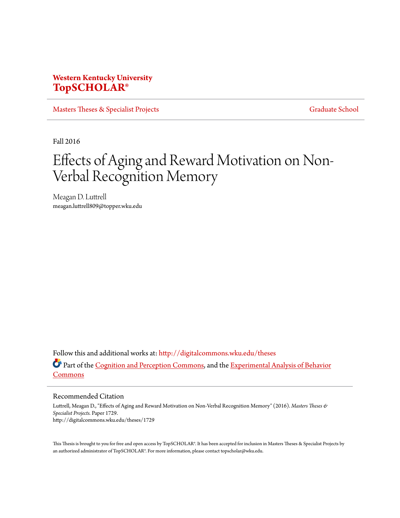## **Western Kentucky University [TopSCHOLAR®](http://digitalcommons.wku.edu?utm_source=digitalcommons.wku.edu%2Ftheses%2F1729&utm_medium=PDF&utm_campaign=PDFCoverPages)**

[Masters Theses & Specialist Projects](http://digitalcommons.wku.edu/theses?utm_source=digitalcommons.wku.edu%2Ftheses%2F1729&utm_medium=PDF&utm_campaign=PDFCoverPages) [Graduate School](http://digitalcommons.wku.edu/Graduate?utm_source=digitalcommons.wku.edu%2Ftheses%2F1729&utm_medium=PDF&utm_campaign=PDFCoverPages) Graduate School

Fall 2016

# Effects of Aging and Reward Motivation on Non-Verbal Recognition Memory

Meagan D. Luttrell meagan.luttrell809@topper.wku.edu

Follow this and additional works at: [http://digitalcommons.wku.edu/theses](http://digitalcommons.wku.edu/theses?utm_source=digitalcommons.wku.edu%2Ftheses%2F1729&utm_medium=PDF&utm_campaign=PDFCoverPages) Part of the [Cognition and Perception Commons](http://network.bepress.com/hgg/discipline/407?utm_source=digitalcommons.wku.edu%2Ftheses%2F1729&utm_medium=PDF&utm_campaign=PDFCoverPages), and the [Experimental Analysis of Behavior](http://network.bepress.com/hgg/discipline/1236?utm_source=digitalcommons.wku.edu%2Ftheses%2F1729&utm_medium=PDF&utm_campaign=PDFCoverPages) [Commons](http://network.bepress.com/hgg/discipline/1236?utm_source=digitalcommons.wku.edu%2Ftheses%2F1729&utm_medium=PDF&utm_campaign=PDFCoverPages)

Recommended Citation

Luttrell, Meagan D., "Effects of Aging and Reward Motivation on Non-Verbal Recognition Memory" (2016). *Masters Theses & Specialist Projects.* Paper 1729. http://digitalcommons.wku.edu/theses/1729

This Thesis is brought to you for free and open access by TopSCHOLAR®. It has been accepted for inclusion in Masters Theses & Specialist Projects by an authorized administrator of TopSCHOLAR®. For more information, please contact topscholar@wku.edu.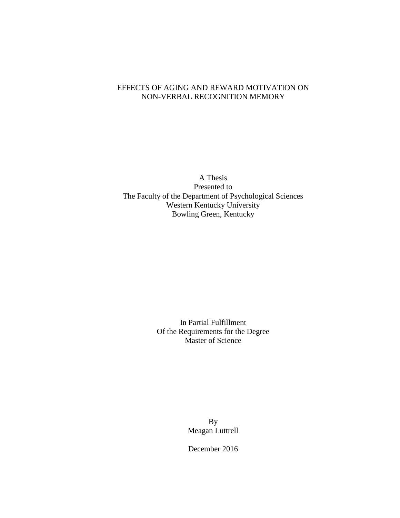### EFFECTS OF AGING AND REWARD MOTIVATION ON NON-VERBAL RECOGNITION MEMORY

A Thesis Presented to The Faculty of the Department of Psychological Sciences Western Kentucky University Bowling Green, Kentucky

> In Partial Fulfillment Of the Requirements for the Degree Master of Science

> > By Meagan Luttrell

December 2016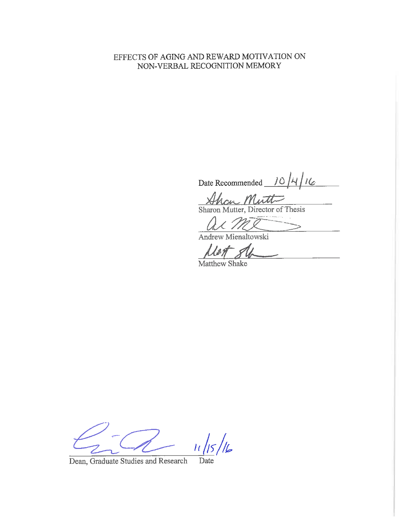## EFFECTS OF AGING AND REWARD MOTIVATION ON NON-VERBAL RECOGNITION MEMORY

Date Recommended  $10/4/16$ 

m Mutt Sharon Mutter, Director of Thesis

Andrew Mienaltowski

Matthew Shake

 $\frac{1}{6}$  $\mu$ 

Dean, Graduate Studies and Research Date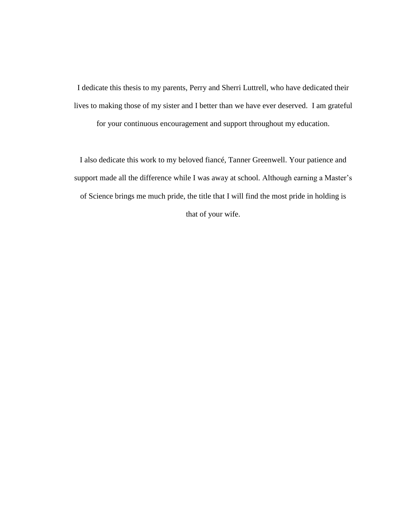I dedicate this thesis to my parents, Perry and Sherri Luttrell, who have dedicated their lives to making those of my sister and I better than we have ever deserved. I am grateful

for your continuous encouragement and support throughout my education.

I also dedicate this work to my beloved fiancé, Tanner Greenwell. Your patience and support made all the difference while I was away at school. Although earning a Master's of Science brings me much pride, the title that I will find the most pride in holding is that of your wife.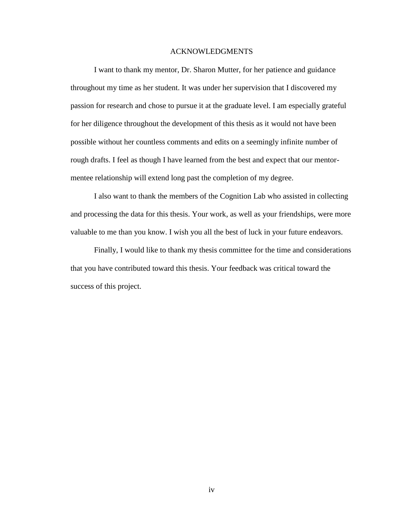#### ACKNOWLEDGMENTS

I want to thank my mentor, Dr. Sharon Mutter, for her patience and guidance throughout my time as her student. It was under her supervision that I discovered my passion for research and chose to pursue it at the graduate level. I am especially grateful for her diligence throughout the development of this thesis as it would not have been possible without her countless comments and edits on a seemingly infinite number of rough drafts. I feel as though I have learned from the best and expect that our mentormentee relationship will extend long past the completion of my degree.

I also want to thank the members of the Cognition Lab who assisted in collecting and processing the data for this thesis. Your work, as well as your friendships, were more valuable to me than you know. I wish you all the best of luck in your future endeavors.

Finally, I would like to thank my thesis committee for the time and considerations that you have contributed toward this thesis. Your feedback was critical toward the success of this project.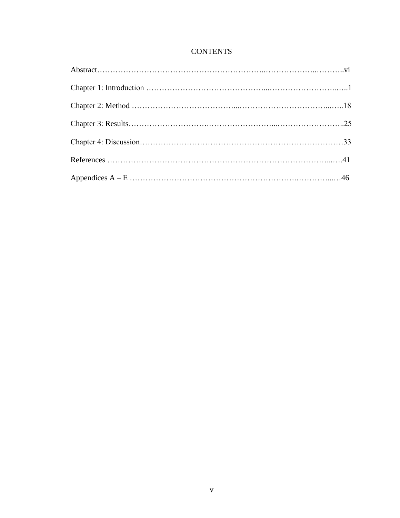## **CONTENTS**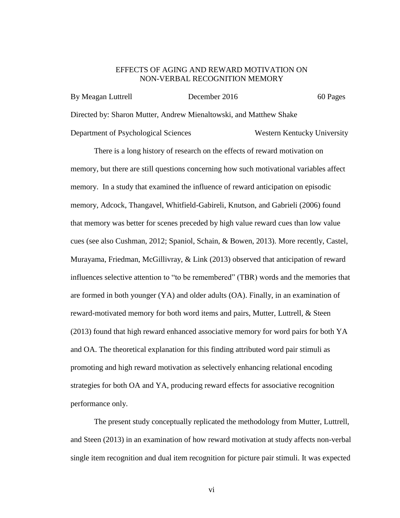#### EFFECTS OF AGING AND REWARD MOTIVATION ON NON-VERBAL RECOGNITION MEMORY

| By Meagan Luttrell                   | December 2016                                                      | 60 Pages                    |
|--------------------------------------|--------------------------------------------------------------------|-----------------------------|
|                                      | Directed by: Sharon Mutter, Andrew Mienaltowski, and Matthew Shake |                             |
| Department of Psychological Sciences |                                                                    | Western Kentucky University |

There is a long history of research on the effects of reward motivation on memory, but there are still questions concerning how such motivational variables affect memory. In a study that examined the influence of reward anticipation on episodic memory, Adcock, Thangavel, Whitfield-Gabireli, Knutson, and Gabrieli (2006) found that memory was better for scenes preceded by high value reward cues than low value cues (see also Cushman, 2012; Spaniol, Schain, & Bowen, 2013). More recently, Castel, Murayama, Friedman, McGillivray, & Link (2013) observed that anticipation of reward influences selective attention to "to be remembered" (TBR) words and the memories that are formed in both younger (YA) and older adults (OA). Finally, in an examination of reward-motivated memory for both word items and pairs, Mutter, Luttrell, & Steen (2013) found that high reward enhanced associative memory for word pairs for both YA and OA. The theoretical explanation for this finding attributed word pair stimuli as promoting and high reward motivation as selectively enhancing relational encoding strategies for both OA and YA, producing reward effects for associative recognition performance only.

The present study conceptually replicated the methodology from Mutter, Luttrell, and Steen (2013) in an examination of how reward motivation at study affects non-verbal single item recognition and dual item recognition for picture pair stimuli. It was expected

vi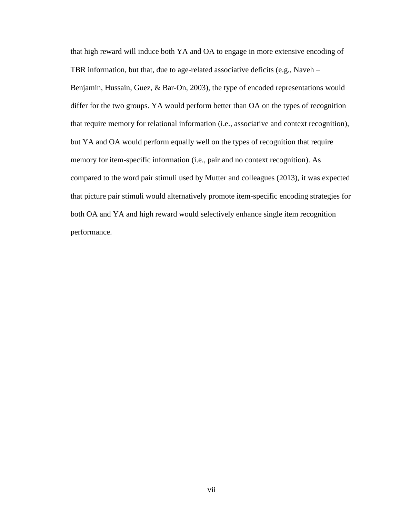that high reward will induce both YA and OA to engage in more extensive encoding of TBR information, but that, due to age-related associative deficits (e.g., Naveh – Benjamin, Hussain, Guez, & Bar-On, 2003), the type of encoded representations would differ for the two groups. YA would perform better than OA on the types of recognition that require memory for relational information (i.e., associative and context recognition), but YA and OA would perform equally well on the types of recognition that require memory for item-specific information (i.e., pair and no context recognition). As compared to the word pair stimuli used by Mutter and colleagues (2013), it was expected that picture pair stimuli would alternatively promote item-specific encoding strategies for both OA and YA and high reward would selectively enhance single item recognition performance.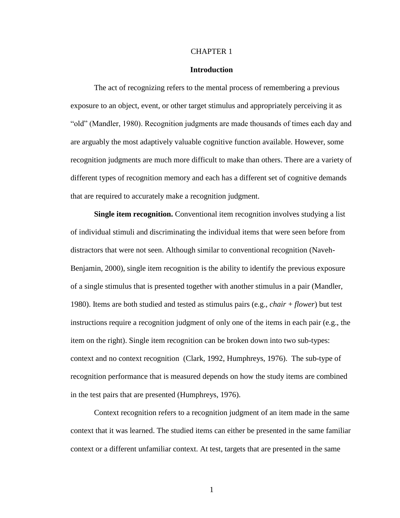#### CHAPTER 1

#### **Introduction**

The act of recognizing refers to the mental process of remembering a previous exposure to an object, event, or other target stimulus and appropriately perceiving it as "old" (Mandler, 1980). Recognition judgments are made thousands of times each day and are arguably the most adaptively valuable cognitive function available. However, some recognition judgments are much more difficult to make than others. There are a variety of different types of recognition memory and each has a different set of cognitive demands that are required to accurately make a recognition judgment.

**Single item recognition.** Conventional item recognition involves studying a list of individual stimuli and discriminating the individual items that were seen before from distractors that were not seen. Although similar to conventional recognition (Naveh-Benjamin, 2000), single item recognition is the ability to identify the previous exposure of a single stimulus that is presented together with another stimulus in a pair (Mandler, 1980). Items are both studied and tested as stimulus pairs (e.g., *chair* + *flower*) but test instructions require a recognition judgment of only one of the items in each pair (e.g., the item on the right). Single item recognition can be broken down into two sub-types: context and no context recognition (Clark, 1992, Humphreys, 1976). The sub-type of recognition performance that is measured depends on how the study items are combined in the test pairs that are presented (Humphreys, 1976).

Context recognition refers to a recognition judgment of an item made in the same context that it was learned. The studied items can either be presented in the same familiar context or a different unfamiliar context. At test, targets that are presented in the same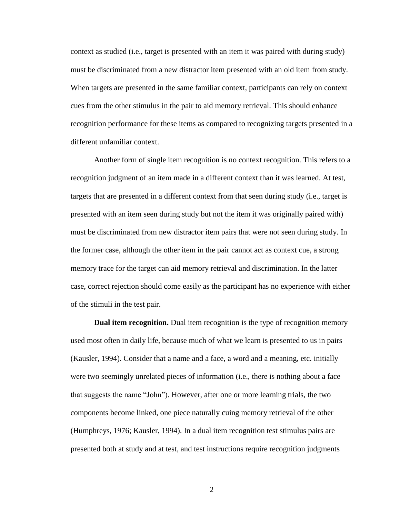context as studied (i.e., target is presented with an item it was paired with during study) must be discriminated from a new distractor item presented with an old item from study. When targets are presented in the same familiar context, participants can rely on context cues from the other stimulus in the pair to aid memory retrieval. This should enhance recognition performance for these items as compared to recognizing targets presented in a different unfamiliar context.

Another form of single item recognition is no context recognition. This refers to a recognition judgment of an item made in a different context than it was learned. At test, targets that are presented in a different context from that seen during study (i.e., target is presented with an item seen during study but not the item it was originally paired with) must be discriminated from new distractor item pairs that were not seen during study. In the former case, although the other item in the pair cannot act as context cue, a strong memory trace for the target can aid memory retrieval and discrimination. In the latter case, correct rejection should come easily as the participant has no experience with either of the stimuli in the test pair.

**Dual item recognition.** Dual item recognition is the type of recognition memory used most often in daily life, because much of what we learn is presented to us in pairs (Kausler, 1994). Consider that a name and a face, a word and a meaning, etc. initially were two seemingly unrelated pieces of information (i.e., there is nothing about a face that suggests the name "John"). However, after one or more learning trials, the two components become linked, one piece naturally cuing memory retrieval of the other (Humphreys, 1976; Kausler, 1994). In a dual item recognition test stimulus pairs are presented both at study and at test, and test instructions require recognition judgments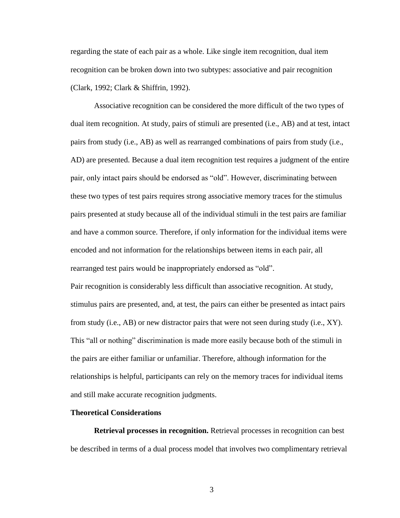regarding the state of each pair as a whole. Like single item recognition, dual item recognition can be broken down into two subtypes: associative and pair recognition (Clark, 1992; Clark & Shiffrin, 1992).

Associative recognition can be considered the more difficult of the two types of dual item recognition. At study, pairs of stimuli are presented (i.e., AB) and at test, intact pairs from study (i.e., AB) as well as rearranged combinations of pairs from study (i.e., AD) are presented. Because a dual item recognition test requires a judgment of the entire pair, only intact pairs should be endorsed as "old". However, discriminating between these two types of test pairs requires strong associative memory traces for the stimulus pairs presented at study because all of the individual stimuli in the test pairs are familiar and have a common source. Therefore, if only information for the individual items were encoded and not information for the relationships between items in each pair, all rearranged test pairs would be inappropriately endorsed as "old".

Pair recognition is considerably less difficult than associative recognition. At study, stimulus pairs are presented, and, at test, the pairs can either be presented as intact pairs from study (i.e., AB) or new distractor pairs that were not seen during study (i.e., XY). This "all or nothing" discrimination is made more easily because both of the stimuli in the pairs are either familiar or unfamiliar. Therefore, although information for the relationships is helpful, participants can rely on the memory traces for individual items and still make accurate recognition judgments.

#### **Theoretical Considerations**

**Retrieval processes in recognition.** Retrieval processes in recognition can best be described in terms of a dual process model that involves two complimentary retrieval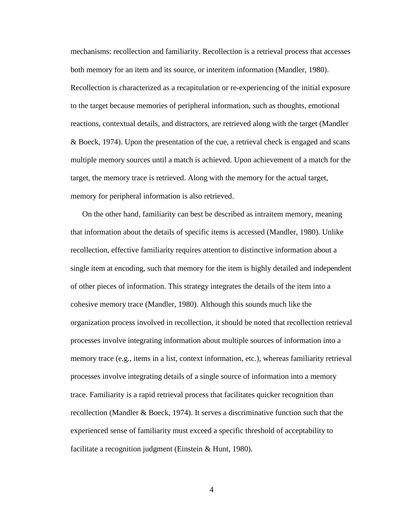mechanisms: recollection and familiarity. Recollection is a retrieval process that accesses both memory for an item and its source, or interitem information (Mandler, 1980). Recollection is characterized as a recapitulation or re-experiencing of the initial exposure to the target because memories of peripheral information, such as thoughts, emotional reactions, contextual details, and distractors, are retrieved along with the target (Mandler & Boeck, 1974). Upon the presentation of the cue, a retrieval check is engaged and scans multiple memory sources until a match is achieved. Upon achievement of a match for the target, the memory trace is retrieved. Along with the memory for the actual target, memory for peripheral information is also retrieved.

On the other hand, familiarity can best be described as intraitem memory, meaning that information about the details of specific items is accessed (Mandler, 1980). Unlike recollection, effective familiarity requires attention to distinctive information about a single item at encoding, such that memory for the item is highly detailed and independent of other pieces of information. This strategy integrates the details of the item into a cohesive memory trace (Mandler, 1980). Although this sounds much like the organization process involved in recollection, it should be noted that recollection retrieval processes involve integrating information about multiple sources of information into a memory trace (e.g., items in a list, context information, etc.), whereas familiarity retrieval processes involve integrating details of a single source of information into a memory trace. Familiarity is a rapid retrieval process that facilitates quicker recognition than recollection (Mandler & Boeck, 1974). It serves a discriminative function such that the experienced sense of familiarity must exceed a specific threshold of acceptability to facilitate a recognition judgment (Einstein & Hunt, 1980).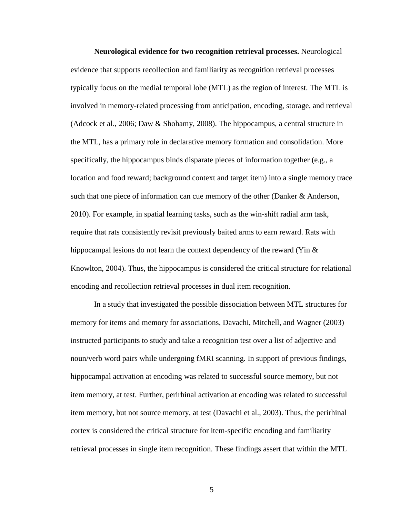**Neurological evidence for two recognition retrieval processes.** Neurological evidence that supports recollection and familiarity as recognition retrieval processes typically focus on the medial temporal lobe (MTL) as the region of interest. The MTL is involved in memory-related processing from anticipation, encoding, storage, and retrieval (Adcock et al., 2006; Daw & Shohamy, 2008). The hippocampus, a central structure in the MTL, has a primary role in declarative memory formation and consolidation. More specifically, the hippocampus binds disparate pieces of information together (e.g., a location and food reward; background context and target item) into a single memory trace such that one piece of information can cue memory of the other (Danker & Anderson, 2010). For example, in spatial learning tasks, such as the win-shift radial arm task, require that rats consistently revisit previously baited arms to earn reward. Rats with hippocampal lesions do not learn the context dependency of the reward (Yin  $\&$ Knowlton, 2004). Thus, the hippocampus is considered the critical structure for relational encoding and recollection retrieval processes in dual item recognition.

In a study that investigated the possible dissociation between MTL structures for memory for items and memory for associations, Davachi, Mitchell, and Wagner (2003) instructed participants to study and take a recognition test over a list of adjective and noun/verb word pairs while undergoing fMRI scanning. In support of previous findings, hippocampal activation at encoding was related to successful source memory, but not item memory, at test. Further, perirhinal activation at encoding was related to successful item memory, but not source memory, at test (Davachi et al., 2003). Thus, the perirhinal cortex is considered the critical structure for item-specific encoding and familiarity retrieval processes in single item recognition. These findings assert that within the MTL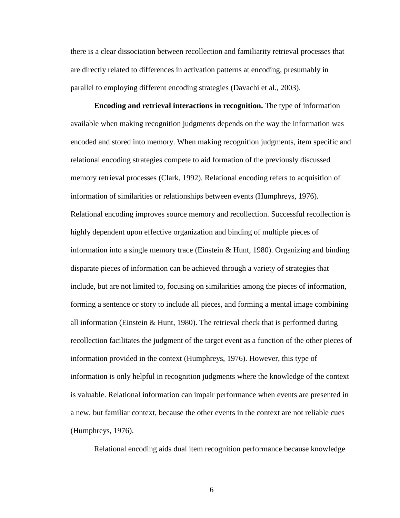there is a clear dissociation between recollection and familiarity retrieval processes that are directly related to differences in activation patterns at encoding, presumably in parallel to employing different encoding strategies (Davachi et al., 2003).

**Encoding and retrieval interactions in recognition.** The type of information available when making recognition judgments depends on the way the information was encoded and stored into memory. When making recognition judgments, item specific and relational encoding strategies compete to aid formation of the previously discussed memory retrieval processes (Clark, 1992). Relational encoding refers to acquisition of information of similarities or relationships between events (Humphreys, 1976). Relational encoding improves source memory and recollection. Successful recollection is highly dependent upon effective organization and binding of multiple pieces of information into a single memory trace (Einstein & Hunt, 1980). Organizing and binding disparate pieces of information can be achieved through a variety of strategies that include, but are not limited to, focusing on similarities among the pieces of information, forming a sentence or story to include all pieces, and forming a mental image combining all information (Einstein  $&$  Hunt, 1980). The retrieval check that is performed during recollection facilitates the judgment of the target event as a function of the other pieces of information provided in the context (Humphreys, 1976). However, this type of information is only helpful in recognition judgments where the knowledge of the context is valuable. Relational information can impair performance when events are presented in a new, but familiar context, because the other events in the context are not reliable cues (Humphreys, 1976).

Relational encoding aids dual item recognition performance because knowledge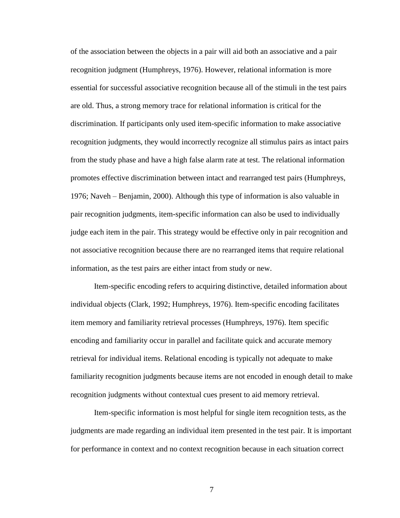of the association between the objects in a pair will aid both an associative and a pair recognition judgment (Humphreys, 1976). However, relational information is more essential for successful associative recognition because all of the stimuli in the test pairs are old. Thus, a strong memory trace for relational information is critical for the discrimination. If participants only used item-specific information to make associative recognition judgments, they would incorrectly recognize all stimulus pairs as intact pairs from the study phase and have a high false alarm rate at test. The relational information promotes effective discrimination between intact and rearranged test pairs (Humphreys, 1976; Naveh – Benjamin, 2000). Although this type of information is also valuable in pair recognition judgments, item-specific information can also be used to individually judge each item in the pair. This strategy would be effective only in pair recognition and not associative recognition because there are no rearranged items that require relational information, as the test pairs are either intact from study or new.

Item-specific encoding refers to acquiring distinctive, detailed information about individual objects (Clark, 1992; Humphreys, 1976). Item-specific encoding facilitates item memory and familiarity retrieval processes (Humphreys, 1976). Item specific encoding and familiarity occur in parallel and facilitate quick and accurate memory retrieval for individual items. Relational encoding is typically not adequate to make familiarity recognition judgments because items are not encoded in enough detail to make recognition judgments without contextual cues present to aid memory retrieval.

Item-specific information is most helpful for single item recognition tests, as the judgments are made regarding an individual item presented in the test pair. It is important for performance in context and no context recognition because in each situation correct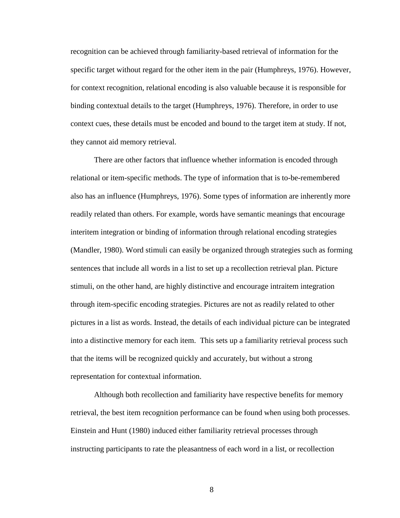recognition can be achieved through familiarity-based retrieval of information for the specific target without regard for the other item in the pair (Humphreys, 1976). However, for context recognition, relational encoding is also valuable because it is responsible for binding contextual details to the target (Humphreys, 1976). Therefore, in order to use context cues, these details must be encoded and bound to the target item at study. If not, they cannot aid memory retrieval.

There are other factors that influence whether information is encoded through relational or item-specific methods. The type of information that is to-be-remembered also has an influence (Humphreys, 1976). Some types of information are inherently more readily related than others. For example, words have semantic meanings that encourage interitem integration or binding of information through relational encoding strategies (Mandler, 1980). Word stimuli can easily be organized through strategies such as forming sentences that include all words in a list to set up a recollection retrieval plan. Picture stimuli, on the other hand, are highly distinctive and encourage intraitem integration through item-specific encoding strategies. Pictures are not as readily related to other pictures in a list as words. Instead, the details of each individual picture can be integrated into a distinctive memory for each item. This sets up a familiarity retrieval process such that the items will be recognized quickly and accurately, but without a strong representation for contextual information.

Although both recollection and familiarity have respective benefits for memory retrieval, the best item recognition performance can be found when using both processes. Einstein and Hunt (1980) induced either familiarity retrieval processes through instructing participants to rate the pleasantness of each word in a list, or recollection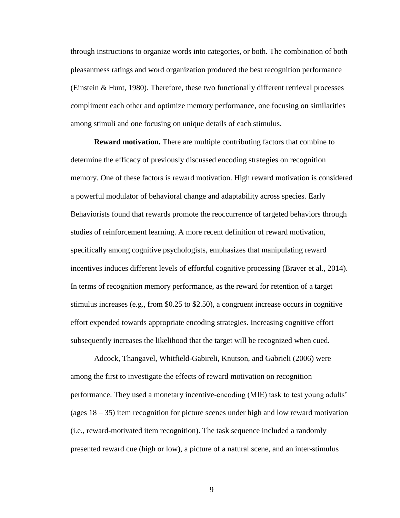through instructions to organize words into categories, or both. The combination of both pleasantness ratings and word organization produced the best recognition performance (Einstein & Hunt, 1980). Therefore, these two functionally different retrieval processes compliment each other and optimize memory performance, one focusing on similarities among stimuli and one focusing on unique details of each stimulus.

**Reward motivation.** There are multiple contributing factors that combine to determine the efficacy of previously discussed encoding strategies on recognition memory. One of these factors is reward motivation. High reward motivation is considered a powerful modulator of behavioral change and adaptability across species. Early Behaviorists found that rewards promote the reoccurrence of targeted behaviors through studies of reinforcement learning. A more recent definition of reward motivation, specifically among cognitive psychologists, emphasizes that manipulating reward incentives induces different levels of effortful cognitive processing (Braver et al., 2014). In terms of recognition memory performance, as the reward for retention of a target stimulus increases (e.g., from \$0.25 to \$2.50), a congruent increase occurs in cognitive effort expended towards appropriate encoding strategies. Increasing cognitive effort subsequently increases the likelihood that the target will be recognized when cued.

Adcock, Thangavel, Whitfield-Gabireli, Knutson, and Gabrieli (2006) were among the first to investigate the effects of reward motivation on recognition performance. They used a monetary incentive-encoding (MIE) task to test young adults' (ages  $18 - 35$ ) item recognition for picture scenes under high and low reward motivation (i.e., reward-motivated item recognition). The task sequence included a randomly presented reward cue (high or low), a picture of a natural scene, and an inter-stimulus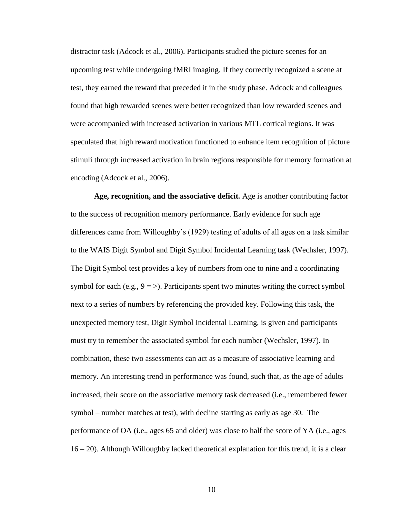distractor task (Adcock et al., 2006). Participants studied the picture scenes for an upcoming test while undergoing fMRI imaging. If they correctly recognized a scene at test, they earned the reward that preceded it in the study phase. Adcock and colleagues found that high rewarded scenes were better recognized than low rewarded scenes and were accompanied with increased activation in various MTL cortical regions. It was speculated that high reward motivation functioned to enhance item recognition of picture stimuli through increased activation in brain regions responsible for memory formation at encoding (Adcock et al., 2006).

**Age, recognition, and the associative deficit***.* Age is another contributing factor to the success of recognition memory performance. Early evidence for such age differences came from Willoughby's (1929) testing of adults of all ages on a task similar to the WAIS Digit Symbol and Digit Symbol Incidental Learning task (Wechsler, 1997). The Digit Symbol test provides a key of numbers from one to nine and a coordinating symbol for each (e.g.,  $9 = \frac{1}{2}$ ). Participants spent two minutes writing the correct symbol next to a series of numbers by referencing the provided key. Following this task, the unexpected memory test, Digit Symbol Incidental Learning, is given and participants must try to remember the associated symbol for each number (Wechsler, 1997). In combination, these two assessments can act as a measure of associative learning and memory. An interesting trend in performance was found, such that, as the age of adults increased, their score on the associative memory task decreased (i.e., remembered fewer symbol – number matches at test), with decline starting as early as age 30. The performance of OA (i.e., ages 65 and older) was close to half the score of YA (i.e., ages 16 – 20). Although Willoughby lacked theoretical explanation for this trend, it is a clear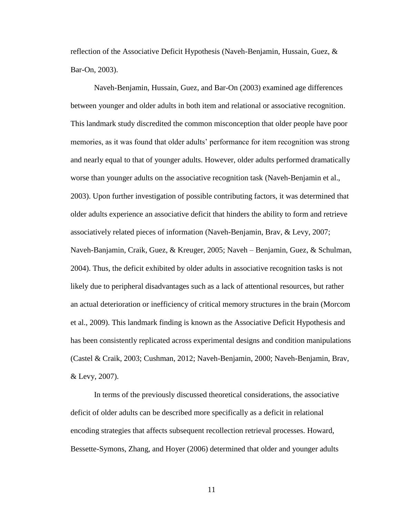reflection of the Associative Deficit Hypothesis (Naveh-Benjamin, Hussain, Guez, & Bar-On, 2003).

Naveh-Benjamin, Hussain, Guez, and Bar-On (2003) examined age differences between younger and older adults in both item and relational or associative recognition. This landmark study discredited the common misconception that older people have poor memories, as it was found that older adults' performance for item recognition was strong and nearly equal to that of younger adults. However, older adults performed dramatically worse than younger adults on the associative recognition task (Naveh-Benjamin et al., 2003). Upon further investigation of possible contributing factors, it was determined that older adults experience an associative deficit that hinders the ability to form and retrieve associatively related pieces of information (Naveh-Benjamin, Brav, & Levy, 2007; Naveh-Banjamin, Craik, Guez, & Kreuger, 2005; Naveh – Benjamin, Guez, & Schulman, 2004). Thus, the deficit exhibited by older adults in associative recognition tasks is not likely due to peripheral disadvantages such as a lack of attentional resources, but rather an actual deterioration or inefficiency of critical memory structures in the brain (Morcom et al., 2009). This landmark finding is known as the Associative Deficit Hypothesis and has been consistently replicated across experimental designs and condition manipulations (Castel & Craik, 2003; Cushman, 2012; Naveh-Benjamin, 2000; Naveh-Benjamin, Brav, & Levy, 2007).

In terms of the previously discussed theoretical considerations, the associative deficit of older adults can be described more specifically as a deficit in relational encoding strategies that affects subsequent recollection retrieval processes. Howard, Bessette-Symons, Zhang, and Hoyer (2006) determined that older and younger adults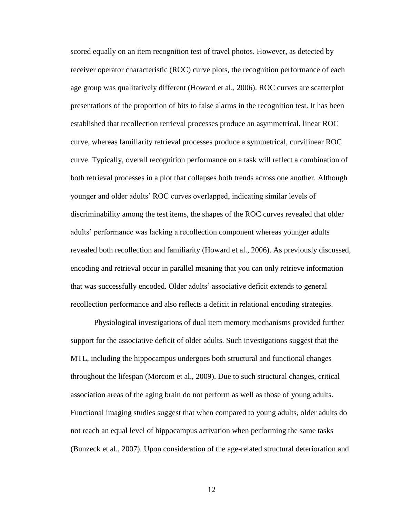scored equally on an item recognition test of travel photos. However, as detected by receiver operator characteristic (ROC) curve plots, the recognition performance of each age group was qualitatively different (Howard et al., 2006). ROC curves are scatterplot presentations of the proportion of hits to false alarms in the recognition test. It has been established that recollection retrieval processes produce an asymmetrical, linear ROC curve, whereas familiarity retrieval processes produce a symmetrical, curvilinear ROC curve. Typically, overall recognition performance on a task will reflect a combination of both retrieval processes in a plot that collapses both trends across one another. Although younger and older adults' ROC curves overlapped, indicating similar levels of discriminability among the test items, the shapes of the ROC curves revealed that older adults' performance was lacking a recollection component whereas younger adults revealed both recollection and familiarity (Howard et al., 2006). As previously discussed, encoding and retrieval occur in parallel meaning that you can only retrieve information that was successfully encoded. Older adults' associative deficit extends to general recollection performance and also reflects a deficit in relational encoding strategies.

Physiological investigations of dual item memory mechanisms provided further support for the associative deficit of older adults. Such investigations suggest that the MTL, including the hippocampus undergoes both structural and functional changes throughout the lifespan (Morcom et al., 2009). Due to such structural changes, critical association areas of the aging brain do not perform as well as those of young adults. Functional imaging studies suggest that when compared to young adults, older adults do not reach an equal level of hippocampus activation when performing the same tasks (Bunzeck et al., 2007). Upon consideration of the age-related structural deterioration and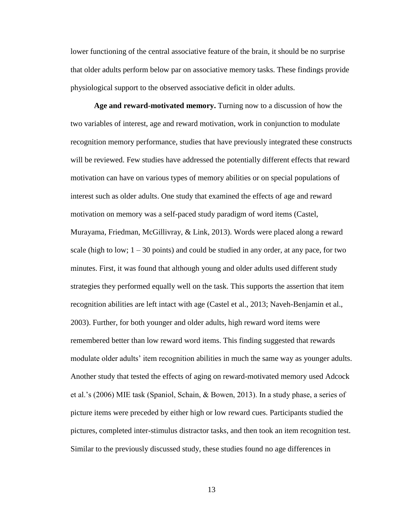lower functioning of the central associative feature of the brain, it should be no surprise that older adults perform below par on associative memory tasks. These findings provide physiological support to the observed associative deficit in older adults.

**Age and reward-motivated memory.** Turning now to a discussion of how the two variables of interest, age and reward motivation, work in conjunction to modulate recognition memory performance, studies that have previously integrated these constructs will be reviewed. Few studies have addressed the potentially different effects that reward motivation can have on various types of memory abilities or on special populations of interest such as older adults. One study that examined the effects of age and reward motivation on memory was a self-paced study paradigm of word items (Castel, Murayama, Friedman, McGillivray, & Link, 2013). Words were placed along a reward scale (high to low;  $1 - 30$  points) and could be studied in any order, at any pace, for two minutes. First, it was found that although young and older adults used different study strategies they performed equally well on the task. This supports the assertion that item recognition abilities are left intact with age (Castel et al., 2013; Naveh-Benjamin et al., 2003). Further, for both younger and older adults, high reward word items were remembered better than low reward word items. This finding suggested that rewards modulate older adults' item recognition abilities in much the same way as younger adults. Another study that tested the effects of aging on reward-motivated memory used Adcock et al.'s (2006) MIE task (Spaniol, Schain, & Bowen, 2013). In a study phase, a series of picture items were preceded by either high or low reward cues. Participants studied the pictures, completed inter-stimulus distractor tasks, and then took an item recognition test. Similar to the previously discussed study, these studies found no age differences in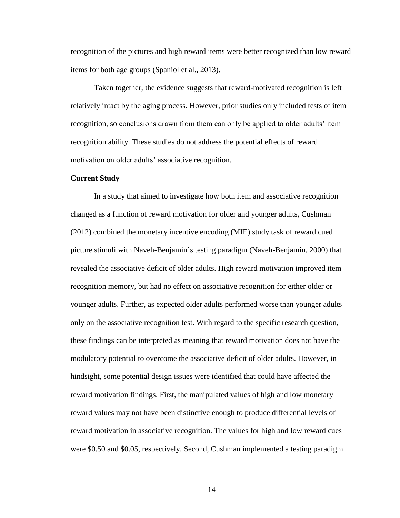recognition of the pictures and high reward items were better recognized than low reward items for both age groups (Spaniol et al., 2013).

Taken together, the evidence suggests that reward-motivated recognition is left relatively intact by the aging process. However, prior studies only included tests of item recognition, so conclusions drawn from them can only be applied to older adults' item recognition ability. These studies do not address the potential effects of reward motivation on older adults' associative recognition.

#### **Current Study**

In a study that aimed to investigate how both item and associative recognition changed as a function of reward motivation for older and younger adults, Cushman (2012) combined the monetary incentive encoding (MIE) study task of reward cued picture stimuli with Naveh-Benjamin's testing paradigm (Naveh-Benjamin, 2000) that revealed the associative deficit of older adults. High reward motivation improved item recognition memory, but had no effect on associative recognition for either older or younger adults. Further, as expected older adults performed worse than younger adults only on the associative recognition test. With regard to the specific research question, these findings can be interpreted as meaning that reward motivation does not have the modulatory potential to overcome the associative deficit of older adults. However, in hindsight, some potential design issues were identified that could have affected the reward motivation findings. First, the manipulated values of high and low monetary reward values may not have been distinctive enough to produce differential levels of reward motivation in associative recognition. The values for high and low reward cues were \$0.50 and \$0.05, respectively. Second, Cushman implemented a testing paradigm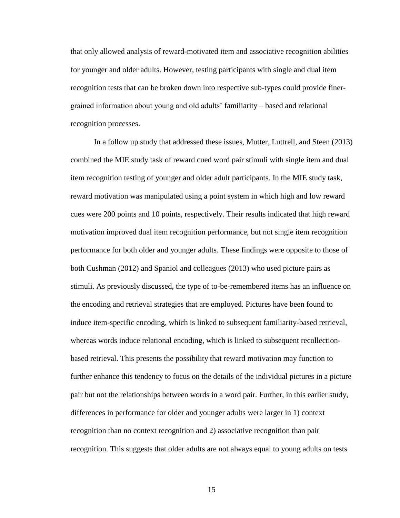that only allowed analysis of reward-motivated item and associative recognition abilities for younger and older adults. However, testing participants with single and dual item recognition tests that can be broken down into respective sub-types could provide finergrained information about young and old adults' familiarity – based and relational recognition processes.

In a follow up study that addressed these issues, Mutter, Luttrell, and Steen (2013) combined the MIE study task of reward cued word pair stimuli with single item and dual item recognition testing of younger and older adult participants. In the MIE study task, reward motivation was manipulated using a point system in which high and low reward cues were 200 points and 10 points, respectively. Their results indicated that high reward motivation improved dual item recognition performance, but not single item recognition performance for both older and younger adults. These findings were opposite to those of both Cushman (2012) and Spaniol and colleagues (2013) who used picture pairs as stimuli. As previously discussed, the type of to-be-remembered items has an influence on the encoding and retrieval strategies that are employed. Pictures have been found to induce item-specific encoding, which is linked to subsequent familiarity-based retrieval, whereas words induce relational encoding, which is linked to subsequent recollectionbased retrieval. This presents the possibility that reward motivation may function to further enhance this tendency to focus on the details of the individual pictures in a picture pair but not the relationships between words in a word pair. Further, in this earlier study, differences in performance for older and younger adults were larger in 1) context recognition than no context recognition and 2) associative recognition than pair recognition. This suggests that older adults are not always equal to young adults on tests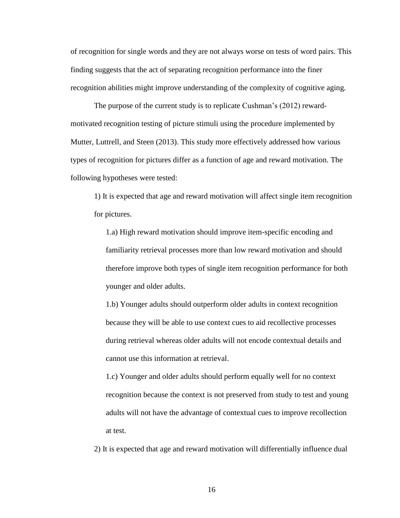of recognition for single words and they are not always worse on tests of word pairs. This finding suggests that the act of separating recognition performance into the finer recognition abilities might improve understanding of the complexity of cognitive aging.

The purpose of the current study is to replicate Cushman's (2012) rewardmotivated recognition testing of picture stimuli using the procedure implemented by Mutter, Luttrell, and Steen (2013). This study more effectively addressed how various types of recognition for pictures differ as a function of age and reward motivation. The following hypotheses were tested:

1) It is expected that age and reward motivation will affect single item recognition for pictures.

1.a) High reward motivation should improve item-specific encoding and familiarity retrieval processes more than low reward motivation and should therefore improve both types of single item recognition performance for both younger and older adults.

1.b) Younger adults should outperform older adults in context recognition because they will be able to use context cues to aid recollective processes during retrieval whereas older adults will not encode contextual details and cannot use this information at retrieval.

1.c) Younger and older adults should perform equally well for no context recognition because the context is not preserved from study to test and young adults will not have the advantage of contextual cues to improve recollection at test.

2) It is expected that age and reward motivation will differentially influence dual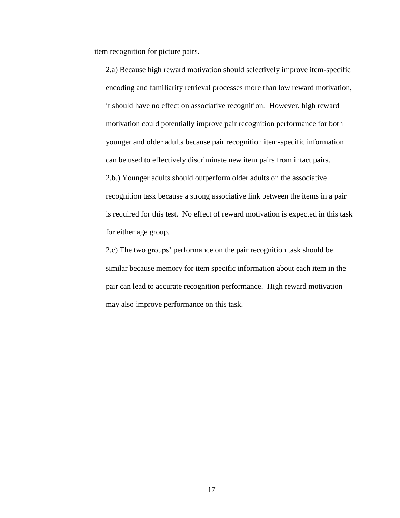item recognition for picture pairs.

2.a) Because high reward motivation should selectively improve item-specific encoding and familiarity retrieval processes more than low reward motivation, it should have no effect on associative recognition. However, high reward motivation could potentially improve pair recognition performance for both younger and older adults because pair recognition item-specific information can be used to effectively discriminate new item pairs from intact pairs. 2.b.) Younger adults should outperform older adults on the associative recognition task because a strong associative link between the items in a pair is required for this test. No effect of reward motivation is expected in this task for either age group.

2.c) The two groups' performance on the pair recognition task should be similar because memory for item specific information about each item in the pair can lead to accurate recognition performance. High reward motivation may also improve performance on this task.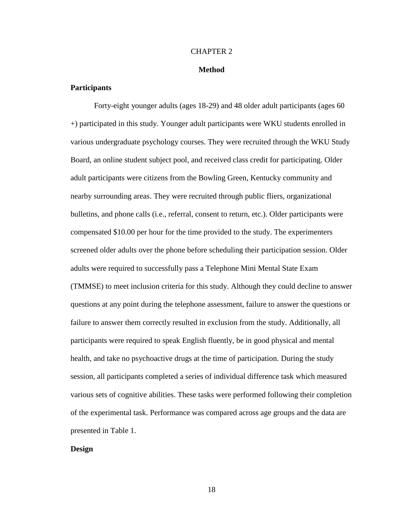#### CHAPTER 2

#### **Method**

#### **Participants**

Forty-eight younger adults (ages 18-29) and 48 older adult participants (ages 60 +) participated in this study. Younger adult participants were WKU students enrolled in various undergraduate psychology courses. They were recruited through the WKU Study Board, an online student subject pool, and received class credit for participating. Older adult participants were citizens from the Bowling Green, Kentucky community and nearby surrounding areas. They were recruited through public fliers, organizational bulletins, and phone calls (i.e., referral, consent to return, etc.). Older participants were compensated \$10.00 per hour for the time provided to the study. The experimenters screened older adults over the phone before scheduling their participation session. Older adults were required to successfully pass a Telephone Mini Mental State Exam (TMMSE) to meet inclusion criteria for this study. Although they could decline to answer questions at any point during the telephone assessment, failure to answer the questions or failure to answer them correctly resulted in exclusion from the study. Additionally, all participants were required to speak English fluently, be in good physical and mental health, and take no psychoactive drugs at the time of participation. During the study session, all participants completed a series of individual difference task which measured various sets of cognitive abilities. These tasks were performed following their completion of the experimental task. Performance was compared across age groups and the data are presented in Table 1.

#### **Design**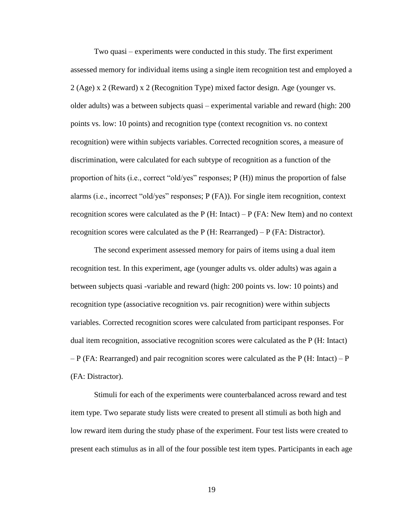Two quasi – experiments were conducted in this study. The first experiment assessed memory for individual items using a single item recognition test and employed a 2 (Age) x 2 (Reward) x 2 (Recognition Type) mixed factor design. Age (younger vs. older adults) was a between subjects quasi – experimental variable and reward (high: 200 points vs. low: 10 points) and recognition type (context recognition vs. no context recognition) were within subjects variables. Corrected recognition scores, a measure of discrimination, were calculated for each subtype of recognition as a function of the proportion of hits (i.e., correct "old/yes" responses; P (H)) minus the proportion of false alarms (i.e., incorrect "old/yes" responses; P (FA)). For single item recognition, context recognition scores were calculated as the  $P(H: Intact) - P(HA: New Item)$  and no context recognition scores were calculated as the P  $(H: Rearranged) - P$  (FA: Distractor).

The second experiment assessed memory for pairs of items using a dual item recognition test. In this experiment, age (younger adults vs. older adults) was again a between subjects quasi -variable and reward (high: 200 points vs. low: 10 points) and recognition type (associative recognition vs. pair recognition) were within subjects variables. Corrected recognition scores were calculated from participant responses. For dual item recognition, associative recognition scores were calculated as the P (H: Intact)  $- P$  (FA: Rearranged) and pair recognition scores were calculated as the P (H: Intact) – P (FA: Distractor).

Stimuli for each of the experiments were counterbalanced across reward and test item type. Two separate study lists were created to present all stimuli as both high and low reward item during the study phase of the experiment. Four test lists were created to present each stimulus as in all of the four possible test item types. Participants in each age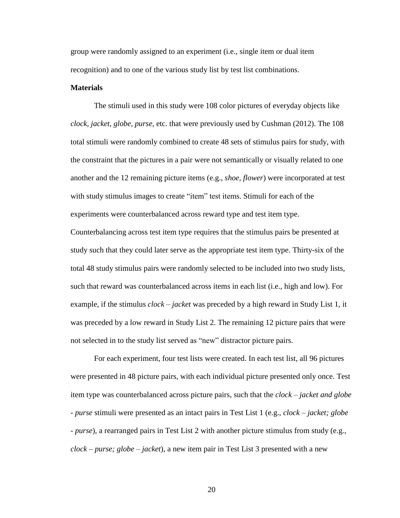group were randomly assigned to an experiment (i.e., single item or dual item recognition) and to one of the various study list by test list combinations.

#### **Materials**

The stimuli used in this study were 108 color pictures of everyday objects like *clock, jacket, globe, purse,* etc. that were previously used by Cushman (2012). The 108 total stimuli were randomly combined to create 48 sets of stimulus pairs for study, with the constraint that the pictures in a pair were not semantically or visually related to one another and the 12 remaining picture items (e.g., *shoe, flower*) were incorporated at test with study stimulus images to create "item" test items. Stimuli for each of the experiments were counterbalanced across reward type and test item type.

Counterbalancing across test item type requires that the stimulus pairs be presented at study such that they could later serve as the appropriate test item type. Thirty-six of the total 48 study stimulus pairs were randomly selected to be included into two study lists, such that reward was counterbalanced across items in each list (i.e., high and low). For example, if the stimulus *clock – jacket* was preceded by a high reward in Study List 1, it was preceded by a low reward in Study List 2. The remaining 12 picture pairs that were not selected in to the study list served as "new" distractor picture pairs.

For each experiment, four test lists were created. In each test list, all 96 pictures were presented in 48 picture pairs, with each individual picture presented only once. Test item type was counterbalanced across picture pairs, such that the *clock – jacket and globe - purse* stimuli were presented as an intact pairs in Test List 1 (e.g., *clock – jacket; globe - purse*), a rearranged pairs in Test List 2 with another picture stimulus from study (e.g., *clock – purse; globe – jacket*), a new item pair in Test List 3 presented with a new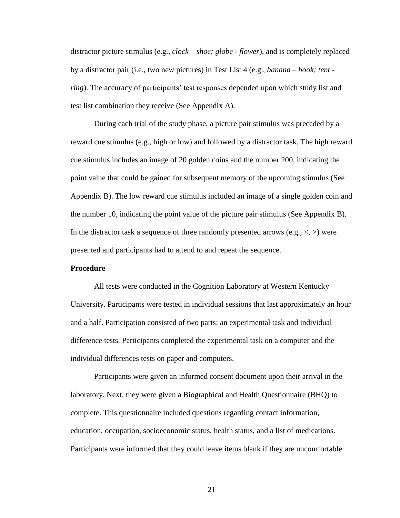distractor picture stimulus (e.g., *clock – shoe; globe - flower*), and is completely replaced by a distractor pair (i.e., two new pictures) in Test List 4 (e.g., *banana – book; tent ring*). The accuracy of participants' test responses depended upon which study list and test list combination they receive (See Appendix A).

During each trial of the study phase, a picture pair stimulus was preceded by a reward cue stimulus (e.g., high or low) and followed by a distractor task. The high reward cue stimulus includes an image of 20 golden coins and the number 200, indicating the point value that could be gained for subsequent memory of the upcoming stimulus (See Appendix B). The low reward cue stimulus included an image of a single golden coin and the number 10, indicating the point value of the picture pair stimulus (See Appendix B). In the distractor task a sequence of three randomly presented arrows (e.g.,  $\langle , \rangle$ ) were presented and participants had to attend to and repeat the sequence.

#### **Procedure**

All tests were conducted in the Cognition Laboratory at Western Kentucky University. Participants were tested in individual sessions that last approximately an hour and a half. Participation consisted of two parts: an experimental task and individual difference tests. Participants completed the experimental task on a computer and the individual differences tests on paper and computers.

Participants were given an informed consent document upon their arrival in the laboratory. Next, they were given a Biographical and Health Questionnaire (BHQ) to complete. This questionnaire included questions regarding contact information, education, occupation, socioeconomic status, health status, and a list of medications. Participants were informed that they could leave items blank if they are uncomfortable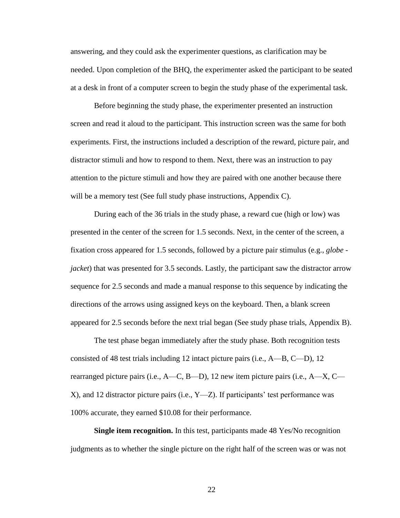answering, and they could ask the experimenter questions, as clarification may be needed. Upon completion of the BHQ, the experimenter asked the participant to be seated at a desk in front of a computer screen to begin the study phase of the experimental task.

Before beginning the study phase, the experimenter presented an instruction screen and read it aloud to the participant. This instruction screen was the same for both experiments. First, the instructions included a description of the reward, picture pair, and distractor stimuli and how to respond to them. Next, there was an instruction to pay attention to the picture stimuli and how they are paired with one another because there will be a memory test (See full study phase instructions, Appendix C).

During each of the 36 trials in the study phase, a reward cue (high or low) was presented in the center of the screen for 1.5 seconds. Next, in the center of the screen, a fixation cross appeared for 1.5 seconds, followed by a picture pair stimulus (e.g., *globe jacket*) that was presented for 3.5 seconds. Lastly, the participant saw the distractor arrow sequence for 2.5 seconds and made a manual response to this sequence by indicating the directions of the arrows using assigned keys on the keyboard. Then, a blank screen appeared for 2.5 seconds before the next trial began (See study phase trials, Appendix B).

The test phase began immediately after the study phase. Both recognition tests consisted of 48 test trials including 12 intact picture pairs (i.e., A—B, C—D), 12 rearranged picture pairs (i.e., A—C, B—D), 12 new item picture pairs (i.e., A—X, C— X), and 12 distractor picture pairs (i.e., Y—Z). If participants' test performance was 100% accurate, they earned \$10.08 for their performance.

**Single item recognition.** In this test, participants made 48 Yes/No recognition judgments as to whether the single picture on the right half of the screen was or was not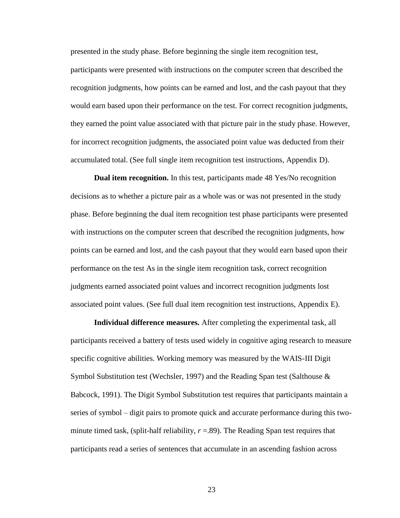presented in the study phase. Before beginning the single item recognition test, participants were presented with instructions on the computer screen that described the recognition judgments, how points can be earned and lost, and the cash payout that they would earn based upon their performance on the test. For correct recognition judgments, they earned the point value associated with that picture pair in the study phase. However, for incorrect recognition judgments, the associated point value was deducted from their accumulated total. (See full single item recognition test instructions, Appendix D).

**Dual item recognition.** In this test, participants made 48 Yes/No recognition decisions as to whether a picture pair as a whole was or was not presented in the study phase. Before beginning the dual item recognition test phase participants were presented with instructions on the computer screen that described the recognition judgments, how points can be earned and lost, and the cash payout that they would earn based upon their performance on the test As in the single item recognition task, correct recognition judgments earned associated point values and incorrect recognition judgments lost associated point values. (See full dual item recognition test instructions, Appendix E).

**Individual difference measures.** After completing the experimental task, all participants received a battery of tests used widely in cognitive aging research to measure specific cognitive abilities. Working memory was measured by the WAIS-III Digit Symbol Substitution test (Wechsler, 1997) and the Reading Span test (Salthouse & Babcock, 1991). The Digit Symbol Substitution test requires that participants maintain a series of symbol – digit pairs to promote quick and accurate performance during this twominute timed task, (split-half reliability,  $r = .89$ ). The Reading Span test requires that participants read a series of sentences that accumulate in an ascending fashion across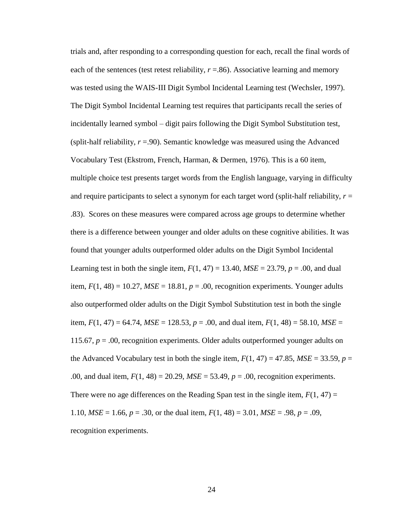trials and, after responding to a corresponding question for each, recall the final words of each of the sentences (test retest reliability,  $r = .86$ ). Associative learning and memory was tested using the WAIS-III Digit Symbol Incidental Learning test (Wechsler, 1997). The Digit Symbol Incidental Learning test requires that participants recall the series of incidentally learned symbol – digit pairs following the Digit Symbol Substitution test, (split-half reliability,  $r = .90$ ). Semantic knowledge was measured using the Advanced Vocabulary Test (Ekstrom, French, Harman, & Dermen, 1976). This is a 60 item, multiple choice test presents target words from the English language, varying in difficulty and require participants to select a synonym for each target word (split-half reliability,  $r =$ .83). Scores on these measures were compared across age groups to determine whether there is a difference between younger and older adults on these cognitive abilities. It was found that younger adults outperformed older adults on the Digit Symbol Incidental Learning test in both the single item,  $F(1, 47) = 13.40$ ,  $MSE = 23.79$ ,  $p = .00$ , and dual item,  $F(1, 48) = 10.27$ ,  $MSE = 18.81$ ,  $p = .00$ , recognition experiments. Younger adults also outperformed older adults on the Digit Symbol Substitution test in both the single item,  $F(1, 47) = 64.74$ ,  $MSE = 128.53$ ,  $p = .00$ , and dual item,  $F(1, 48) = 58.10$ ,  $MSE =$ 115.67,  $p = .00$ , recognition experiments. Older adults outperformed younger adults on the Advanced Vocabulary test in both the single item,  $F(1, 47) = 47.85$ ,  $MSE = 33.59$ ,  $p =$ .00, and dual item, *F*(1, 48) = 20.29, *MSE* = 53.49, *p* = .00, recognition experiments. There were no age differences on the Reading Span test in the single item,  $F(1, 47) =$ 1.10, *MSE* = 1.66, *p* = .30, or the dual item, *F*(1, 48) = 3.01, *MSE* = .98, *p* = .09, recognition experiments.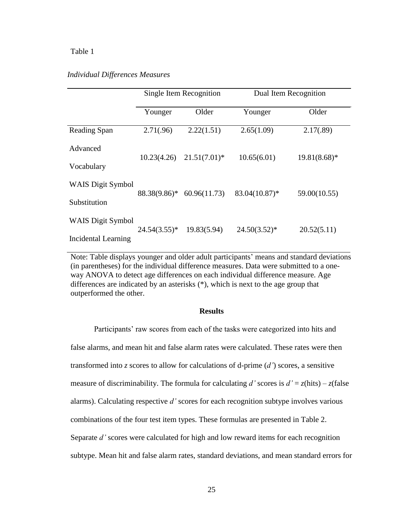#### Table 1

#### *Individual Differences Measures*

|                          | Single Item Recognition |                 | Dual Item Recognition |                |  |
|--------------------------|-------------------------|-----------------|-----------------------|----------------|--|
|                          | Younger                 | Older           | Younger               | Older          |  |
| Reading Span             | 2.71(.96)               | 2.22(1.51)      | 2.65(1.09)            | 2.17(.89)      |  |
| Advanced                 | 10.23(4.26)             | $21.51(7.01)^*$ | 10.65(6.01)           | $19.81(8.68)*$ |  |
| Vocabulary               |                         |                 |                       |                |  |
| <b>WAIS Digit Symbol</b> | 88.38(9.86)*            | 60.96(11.73)    | 83.04(10.87)*         | 59.00(10.55)   |  |
| Substitution             |                         |                 |                       |                |  |
| <b>WAIS Digit Symbol</b> | $24.54(3.55)^*$         | 19.83(5.94)     | $24.50(3.52)*$        | 20.52(5.11)    |  |
| Incidental Learning      |                         |                 |                       |                |  |

Note: Table displays younger and older adult participants' means and standard deviations (in parentheses) for the individual difference measures. Data were submitted to a oneway ANOVA to detect age differences on each individual difference measure. Age differences are indicated by an asterisks (\*), which is next to the age group that outperformed the other.

#### **Results**

Participants' raw scores from each of the tasks were categorized into hits and false alarms, and mean hit and false alarm rates were calculated. These rates were then transformed into *z* scores to allow for calculations of d-prime (*d'*) scores, a sensitive measure of discriminability. The formula for calculating *d'* scores is  $d' = z$ (hits) – *z*(false alarms). Calculating respective *d'* scores for each recognition subtype involves various combinations of the four test item types. These formulas are presented in Table 2. Separate *d'* scores were calculated for high and low reward items for each recognition subtype. Mean hit and false alarm rates, standard deviations, and mean standard errors for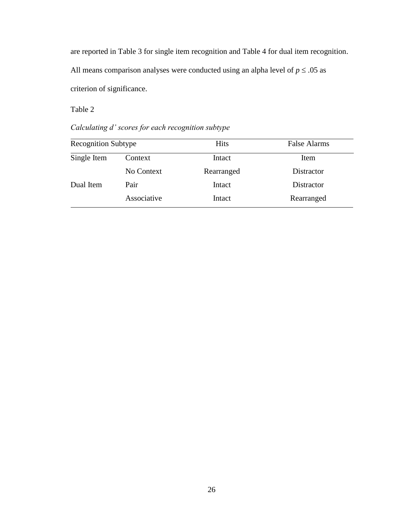are reported in Table 3 for single item recognition and Table 4 for dual item recognition.

All means comparison analyses were conducted using an alpha level of  $p \leq .05$  as criterion of significance.

Table 2

*Calculating d' scores for each recognition subtype*

| <b>Recognition Subtype</b> |             | <b>Hits</b> | <b>False Alarms</b> |  |
|----------------------------|-------------|-------------|---------------------|--|
| Single Item                | Context     | Intact      | Item                |  |
|                            | No Context  | Rearranged  | Distractor          |  |
| Dual Item                  | Pair        | Intact      | Distractor          |  |
|                            | Associative | Intact      | Rearranged          |  |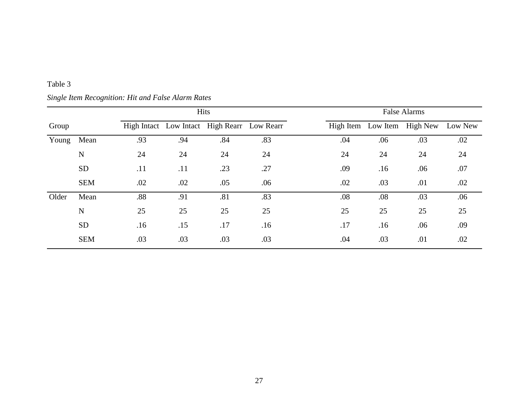|       | Hits        |     | <b>False Alarms</b> |                                             |     |  |     |     |                             |         |
|-------|-------------|-----|---------------------|---------------------------------------------|-----|--|-----|-----|-----------------------------|---------|
| Group |             |     |                     | High Intact Low Intact High Rearr Low Rearr |     |  |     |     | High Item Low Item High New | Low New |
| Young | Mean        | .93 | .94                 | .84                                         | .83 |  | .04 | .06 | .03                         | .02     |
|       | $\mathbf N$ | 24  | 24                  | 24                                          | 24  |  | 24  | 24  | 24                          | 24      |
|       | <b>SD</b>   | .11 | .11                 | .23                                         | .27 |  | .09 | .16 | .06                         | .07     |
|       | <b>SEM</b>  | .02 | .02                 | .05                                         | .06 |  | .02 | .03 | .01                         | .02     |
| Older | Mean        | .88 | .91                 | .81                                         | .83 |  | .08 | .08 | .03                         | .06     |
|       | $\mathbf N$ | 25  | 25                  | 25                                          | 25  |  | 25  | 25  | 25                          | 25      |
|       | <b>SD</b>   | .16 | .15                 | .17                                         | .16 |  | .17 | .16 | .06                         | .09     |
|       | <b>SEM</b>  | .03 | .03                 | .03                                         | .03 |  | .04 | .03 | .01                         | .02     |

## *Single Item Recognition: Hit and False Alarm Rates*

Table 3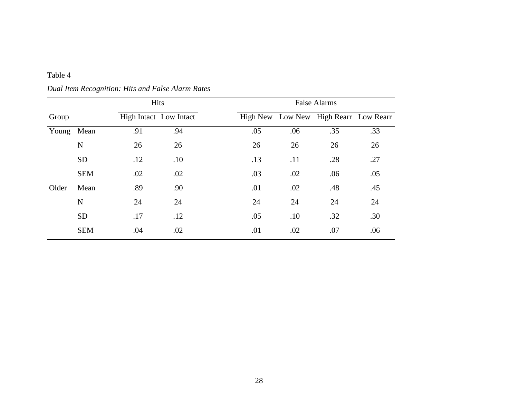|       |             | Hits |                        | <b>False Alarms</b> |     |     |                                       |     |
|-------|-------------|------|------------------------|---------------------|-----|-----|---------------------------------------|-----|
| Group |             |      | High Intact Low Intact |                     |     |     | High New Low New High Rearr Low Rearr |     |
| Young | Mean        | .91  | .94                    |                     | .05 | .06 | .35                                   | .33 |
|       | $\mathbf N$ | 26   | 26                     |                     | 26  | 26  | 26                                    | 26  |
|       | <b>SD</b>   | .12  | .10                    |                     | .13 | .11 | .28                                   | .27 |
|       | <b>SEM</b>  | .02  | .02                    |                     | .03 | .02 | .06                                   | .05 |
| Older | Mean        | .89  | .90                    |                     | .01 | .02 | .48                                   | .45 |
|       | $\mathbf N$ | 24   | 24                     |                     | 24  | 24  | 24                                    | 24  |
|       | <b>SD</b>   | .17  | .12                    |                     | .05 | .10 | .32                                   | .30 |
|       | <b>SEM</b>  | .04  | .02                    |                     | .01 | .02 | .07                                   | .06 |

*Dual Item Recognition: Hits and False Alarm Rates*

Table 4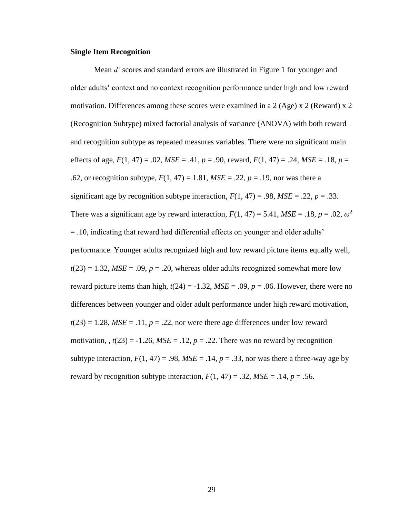#### **Single Item Recognition**

Mean *d'* scores and standard errors are illustrated in Figure 1 for younger and older adults' context and no context recognition performance under high and low reward motivation. Differences among these scores were examined in a 2 (Age) x 2 (Reward) x 2 (Recognition Subtype) mixed factorial analysis of variance (ANOVA) with both reward and recognition subtype as repeated measures variables. There were no significant main effects of age,  $F(1, 47) = .02$ ,  $MSE = .41$ ,  $p = .90$ , reward,  $F(1, 47) = .24$ ,  $MSE = .18$ ,  $p =$ .62, or recognition subtype,  $F(1, 47) = 1.81$ ,  $MSE = .22$ ,  $p = .19$ , nor was there a significant age by recognition subtype interaction,  $F(1, 47) = .98$ ,  $MSE = .22$ ,  $p = .33$ . There was a significant age by reward interaction,  $F(1, 47) = 5.41$ ,  $MSE = .18$ ,  $p = .02$ ,  $\omega^2$ = .10, indicating that reward had differential effects on younger and older adults' performance. Younger adults recognized high and low reward picture items equally well,  $t(23) = 1.32$ ,  $MSE = .09$ ,  $p = .20$ , whereas older adults recognized somewhat more low reward picture items than high,  $t(24) = -1.32$ ,  $MSE = .09$ ,  $p = .06$ . However, there were no differences between younger and older adult performance under high reward motivation,  $t(23) = 1.28$ ,  $MSE = .11$ ,  $p = .22$ , nor were there age differences under low reward motivation,  $t(23) = -1.26$ ,  $MSE = 0.12$ ,  $p = 0.22$ . There was no reward by recognition subtype interaction,  $F(1, 47) = .98$ ,  $MSE = .14$ ,  $p = .33$ , nor was there a three-way age by reward by recognition subtype interaction,  $F(1, 47) = .32$ ,  $MSE = .14$ ,  $p = .56$ .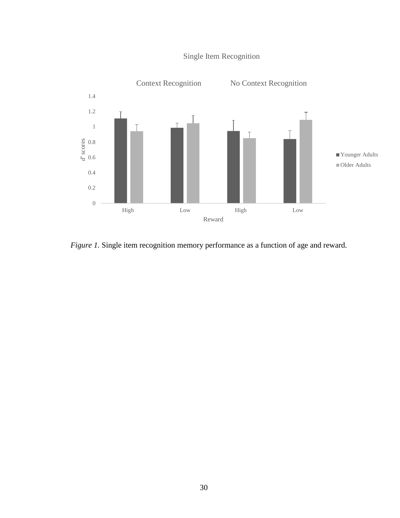

## Single Item Recognition

*Figure 1.* Single item recognition memory performance as a function of age and reward.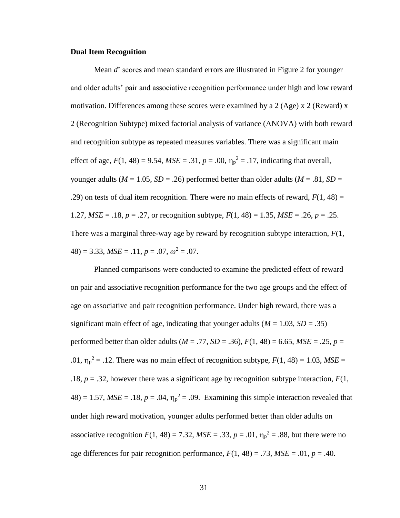#### **Dual Item Recognition**

Mean *d*' scores and mean standard errors are illustrated in Figure 2 for younger and older adults' pair and associative recognition performance under high and low reward motivation. Differences among these scores were examined by a 2 (Age)  $x$  2 (Reward) x 2 (Recognition Subtype) mixed factorial analysis of variance (ANOVA) with both reward and recognition subtype as repeated measures variables. There was a significant main effect of age,  $F(1, 48) = 9.54$ ,  $MSE = .31$ ,  $p = .00$ ,  $\eta_p^2 = .17$ , indicating that overall, younger adults ( $M = 1.05$ ,  $SD = .26$ ) performed better than older adults ( $M = .81$ ,  $SD =$ .29) on tests of dual item recognition. There were no main effects of reward,  $F(1, 48) =$ 1.27, *MSE* = .18, *p* = .27, or recognition subtype, *F*(1, 48) = 1.35, *MSE* = .26, *p* = .25. There was a marginal three-way age by reward by recognition subtype interaction, *F*(1,  $48) = 3.33, MSE = .11, p = .07, \omega^2 = .07.$ 

Planned comparisons were conducted to examine the predicted effect of reward on pair and associative recognition performance for the two age groups and the effect of age on associative and pair recognition performance. Under high reward, there was a significant main effect of age, indicating that younger adults  $(M = 1.03, SD = .35)$ performed better than older adults (*M* = .77, *SD* = .36), *F*(1, 48) = 6.65, *MSE* = .25, *p* = .01,  $\eta_p^2 = 0.12$ . There was no main effect of recognition subtype,  $F(1, 48) = 1.03$ ,  $MSE =$ .18,  $p = 0.32$ , however there was a significant age by recognition subtype interaction,  $F(1)$ ,  $48$ ) = 1.57,  $MSE = .18$ ,  $p = .04$ ,  $\eta_p^2 = .09$ . Examining this simple interaction revealed that under high reward motivation, younger adults performed better than older adults on associative recognition  $F(1, 48) = 7.32$ ,  $MSE = .33$ ,  $p = .01$ ,  $\eta_p^2 = .88$ , but there were no age differences for pair recognition performance,  $F(1, 48) = .73$ ,  $MSE = .01$ ,  $p = .40$ .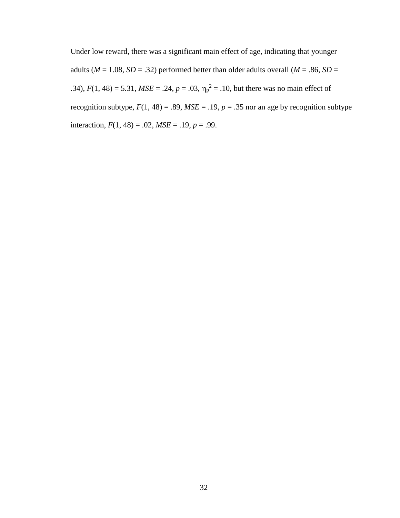Under low reward, there was a significant main effect of age, indicating that younger adults ( $M = 1.08$ ,  $SD = .32$ ) performed better than older adults overall ( $M = .86$ ,  $SD =$ .34),  $F(1, 48) = 5.31$ ,  $MSE = .24$ ,  $p = .03$ ,  $\eta_p^2 = .10$ , but there was no main effect of recognition subtype,  $F(1, 48) = .89$ ,  $MSE = .19$ ,  $p = .35$  nor an age by recognition subtype interaction,  $F(1, 48) = .02$ ,  $MSE = .19$ ,  $p = .99$ .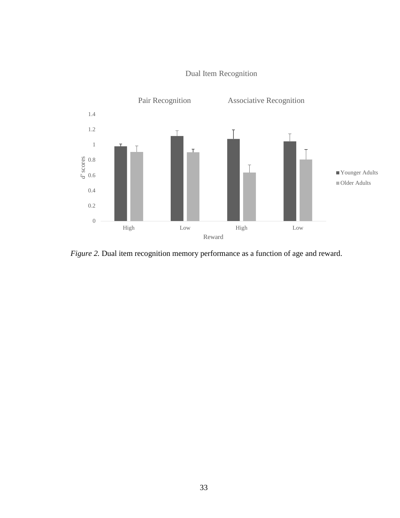

## Dual Item Recognition

*Figure 2.* Dual item recognition memory performance as a function of age and reward.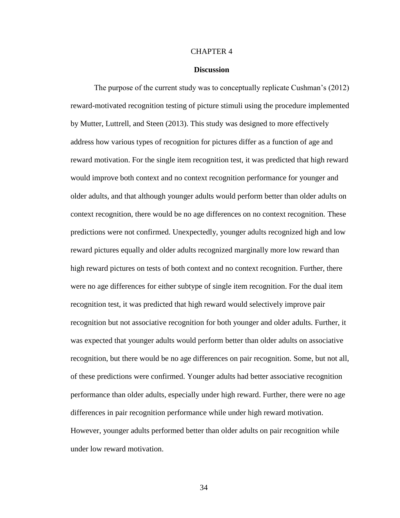#### CHAPTER 4

#### **Discussion**

The purpose of the current study was to conceptually replicate Cushman's (2012) reward-motivated recognition testing of picture stimuli using the procedure implemented by Mutter, Luttrell, and Steen (2013). This study was designed to more effectively address how various types of recognition for pictures differ as a function of age and reward motivation. For the single item recognition test, it was predicted that high reward would improve both context and no context recognition performance for younger and older adults, and that although younger adults would perform better than older adults on context recognition, there would be no age differences on no context recognition. These predictions were not confirmed. Unexpectedly, younger adults recognized high and low reward pictures equally and older adults recognized marginally more low reward than high reward pictures on tests of both context and no context recognition. Further, there were no age differences for either subtype of single item recognition. For the dual item recognition test, it was predicted that high reward would selectively improve pair recognition but not associative recognition for both younger and older adults. Further, it was expected that younger adults would perform better than older adults on associative recognition, but there would be no age differences on pair recognition. Some, but not all, of these predictions were confirmed. Younger adults had better associative recognition performance than older adults, especially under high reward. Further, there were no age differences in pair recognition performance while under high reward motivation. However, younger adults performed better than older adults on pair recognition while under low reward motivation.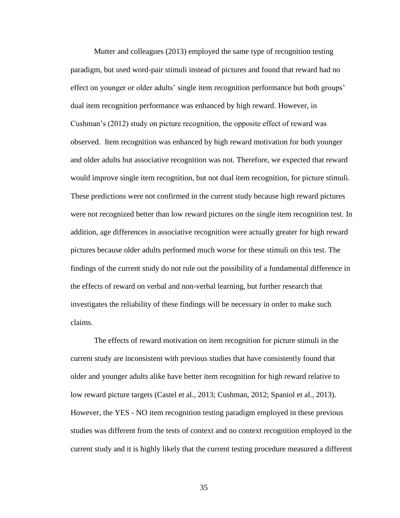Mutter and colleagues (2013) employed the same type of recognition testing paradigm, but used word-pair stimuli instead of pictures and found that reward had no effect on younger or older adults' single item recognition performance but both groups' dual item recognition performance was enhanced by high reward. However, in Cushman's (2012) study on picture recognition, the opposite effect of reward was observed. Item recognition was enhanced by high reward motivation for both younger and older adults but associative recognition was not. Therefore, we expected that reward would improve single item recognition, but not dual item recognition, for picture stimuli. These predictions were not confirmed in the current study because high reward pictures were not recognized better than low reward pictures on the single item recognition test. In addition, age differences in associative recognition were actually greater for high reward pictures because older adults performed much worse for these stimuli on this test. The findings of the current study do not rule out the possibility of a fundamental difference in the effects of reward on verbal and non-verbal learning, but further research that investigates the reliability of these findings will be necessary in order to make such claims.

The effects of reward motivation on item recognition for picture stimuli in the current study are inconsistent with previous studies that have consistently found that older and younger adults alike have better item recognition for high reward relative to low reward picture targets (Castel et al., 2013; Cushman, 2012; Spaniol et al., 2013). However, the YES - NO item recognition testing paradigm employed in these previous studies was different from the tests of context and no context recognition employed in the current study and it is highly likely that the current testing procedure measured a different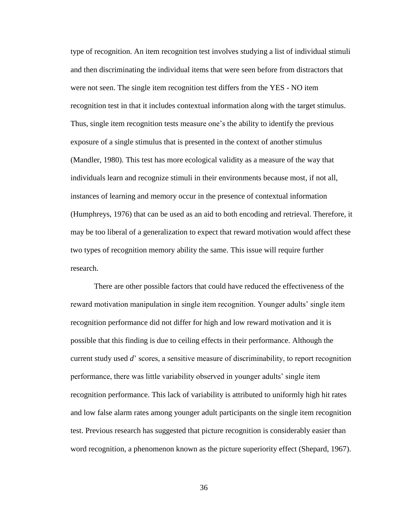type of recognition. An item recognition test involves studying a list of individual stimuli and then discriminating the individual items that were seen before from distractors that were not seen. The single item recognition test differs from the YES - NO item recognition test in that it includes contextual information along with the target stimulus. Thus, single item recognition tests measure one's the ability to identify the previous exposure of a single stimulus that is presented in the context of another stimulus (Mandler, 1980). This test has more ecological validity as a measure of the way that individuals learn and recognize stimuli in their environments because most, if not all, instances of learning and memory occur in the presence of contextual information (Humphreys, 1976) that can be used as an aid to both encoding and retrieval. Therefore, it may be too liberal of a generalization to expect that reward motivation would affect these two types of recognition memory ability the same. This issue will require further research.

There are other possible factors that could have reduced the effectiveness of the reward motivation manipulation in single item recognition. Younger adults' single item recognition performance did not differ for high and low reward motivation and it is possible that this finding is due to ceiling effects in their performance. Although the current study used *d*' scores, a sensitive measure of discriminability, to report recognition performance, there was little variability observed in younger adults' single item recognition performance. This lack of variability is attributed to uniformly high hit rates and low false alarm rates among younger adult participants on the single item recognition test. Previous research has suggested that picture recognition is considerably easier than word recognition, a phenomenon known as the picture superiority effect (Shepard, 1967).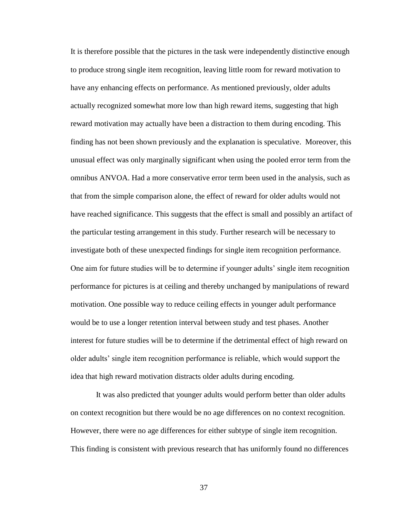It is therefore possible that the pictures in the task were independently distinctive enough to produce strong single item recognition, leaving little room for reward motivation to have any enhancing effects on performance. As mentioned previously, older adults actually recognized somewhat more low than high reward items, suggesting that high reward motivation may actually have been a distraction to them during encoding. This finding has not been shown previously and the explanation is speculative. Moreover, this unusual effect was only marginally significant when using the pooled error term from the omnibus ANVOA. Had a more conservative error term been used in the analysis, such as that from the simple comparison alone, the effect of reward for older adults would not have reached significance. This suggests that the effect is small and possibly an artifact of the particular testing arrangement in this study. Further research will be necessary to investigate both of these unexpected findings for single item recognition performance. One aim for future studies will be to determine if younger adults' single item recognition performance for pictures is at ceiling and thereby unchanged by manipulations of reward motivation. One possible way to reduce ceiling effects in younger adult performance would be to use a longer retention interval between study and test phases. Another interest for future studies will be to determine if the detrimental effect of high reward on older adults' single item recognition performance is reliable, which would support the idea that high reward motivation distracts older adults during encoding.

It was also predicted that younger adults would perform better than older adults on context recognition but there would be no age differences on no context recognition. However, there were no age differences for either subtype of single item recognition. This finding is consistent with previous research that has uniformly found no differences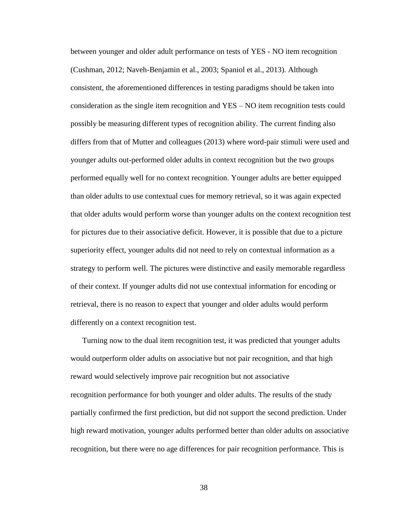between younger and older adult performance on tests of YES - NO item recognition (Cushman, 2012; Naveh-Benjamin et al., 2003; Spaniol et al., 2013). Although consistent, the aforementioned differences in testing paradigms should be taken into consideration as the single item recognition and YES – NO item recognition tests could possibly be measuring different types of recognition ability. The current finding also differs from that of Mutter and colleagues (2013) where word-pair stimuli were used and younger adults out-performed older adults in context recognition but the two groups performed equally well for no context recognition. Younger adults are better equipped than older adults to use contextual cues for memory retrieval, so it was again expected that older adults would perform worse than younger adults on the context recognition test for pictures due to their associative deficit. However, it is possible that due to a picture superiority effect, younger adults did not need to rely on contextual information as a strategy to perform well. The pictures were distinctive and easily memorable regardless of their context. If younger adults did not use contextual information for encoding or retrieval, there is no reason to expect that younger and older adults would perform differently on a context recognition test.

Turning now to the dual item recognition test, it was predicted that younger adults would outperform older adults on associative but not pair recognition, and that high reward would selectively improve pair recognition but not associative recognition performance for both younger and older adults. The results of the study partially confirmed the first prediction, but did not support the second prediction. Under high reward motivation, younger adults performed better than older adults on associative recognition, but there were no age differences for pair recognition performance. This is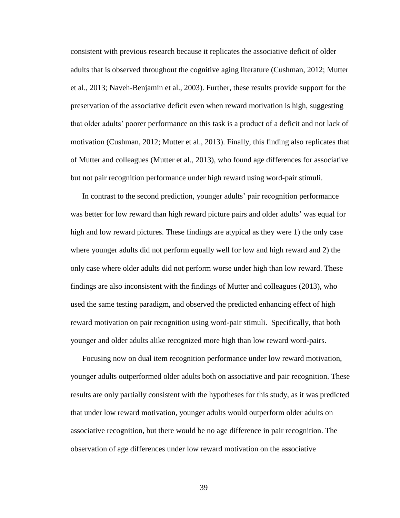consistent with previous research because it replicates the associative deficit of older adults that is observed throughout the cognitive aging literature (Cushman, 2012; Mutter et al., 2013; Naveh-Benjamin et al., 2003). Further, these results provide support for the preservation of the associative deficit even when reward motivation is high, suggesting that older adults' poorer performance on this task is a product of a deficit and not lack of motivation (Cushman, 2012; Mutter et al., 2013). Finally, this finding also replicates that of Mutter and colleagues (Mutter et al., 2013), who found age differences for associative but not pair recognition performance under high reward using word-pair stimuli.

In contrast to the second prediction, younger adults' pair recognition performance was better for low reward than high reward picture pairs and older adults' was equal for high and low reward pictures. These findings are atypical as they were 1) the only case where younger adults did not perform equally well for low and high reward and 2) the only case where older adults did not perform worse under high than low reward. These findings are also inconsistent with the findings of Mutter and colleagues (2013), who used the same testing paradigm, and observed the predicted enhancing effect of high reward motivation on pair recognition using word-pair stimuli. Specifically, that both younger and older adults alike recognized more high than low reward word-pairs.

Focusing now on dual item recognition performance under low reward motivation, younger adults outperformed older adults both on associative and pair recognition. These results are only partially consistent with the hypotheses for this study, as it was predicted that under low reward motivation, younger adults would outperform older adults on associative recognition, but there would be no age difference in pair recognition. The observation of age differences under low reward motivation on the associative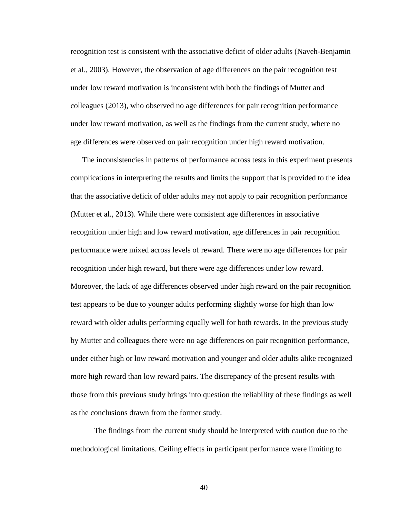recognition test is consistent with the associative deficit of older adults (Naveh-Benjamin et al., 2003). However, the observation of age differences on the pair recognition test under low reward motivation is inconsistent with both the findings of Mutter and colleagues (2013), who observed no age differences for pair recognition performance under low reward motivation, as well as the findings from the current study, where no age differences were observed on pair recognition under high reward motivation.

The inconsistencies in patterns of performance across tests in this experiment presents complications in interpreting the results and limits the support that is provided to the idea that the associative deficit of older adults may not apply to pair recognition performance (Mutter et al., 2013). While there were consistent age differences in associative recognition under high and low reward motivation, age differences in pair recognition performance were mixed across levels of reward. There were no age differences for pair recognition under high reward, but there were age differences under low reward. Moreover, the lack of age differences observed under high reward on the pair recognition test appears to be due to younger adults performing slightly worse for high than low reward with older adults performing equally well for both rewards. In the previous study by Mutter and colleagues there were no age differences on pair recognition performance, under either high or low reward motivation and younger and older adults alike recognized more high reward than low reward pairs. The discrepancy of the present results with those from this previous study brings into question the reliability of these findings as well as the conclusions drawn from the former study.

The findings from the current study should be interpreted with caution due to the methodological limitations. Ceiling effects in participant performance were limiting to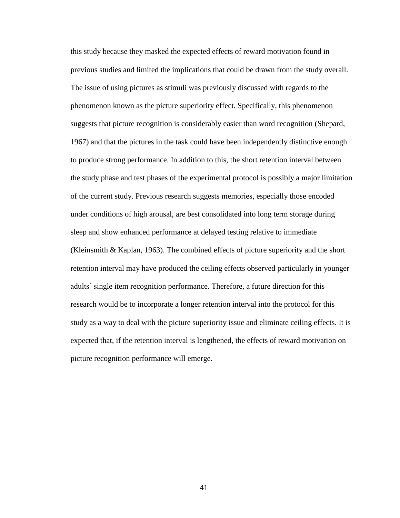this study because they masked the expected effects of reward motivation found in previous studies and limited the implications that could be drawn from the study overall. The issue of using pictures as stimuli was previously discussed with regards to the phenomenon known as the picture superiority effect. Specifically, this phenomenon suggests that picture recognition is considerably easier than word recognition (Shepard, 1967) and that the pictures in the task could have been independently distinctive enough to produce strong performance. In addition to this, the short retention interval between the study phase and test phases of the experimental protocol is possibly a major limitation of the current study. Previous research suggests memories, especially those encoded under conditions of high arousal, are best consolidated into long term storage during sleep and show enhanced performance at delayed testing relative to immediate (Kleinsmith & Kaplan, 1963). The combined effects of picture superiority and the short retention interval may have produced the ceiling effects observed particularly in younger adults' single item recognition performance. Therefore, a future direction for this research would be to incorporate a longer retention interval into the protocol for this study as a way to deal with the picture superiority issue and eliminate ceiling effects. It is expected that, if the retention interval is lengthened, the effects of reward motivation on picture recognition performance will emerge.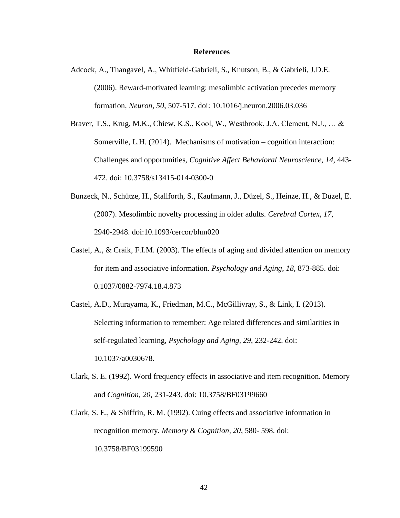#### **References**

- Adcock, A., Thangavel, A., Whitfield-Gabrieli, S., Knutson, B., & Gabrieli, J.D.E. (2006). Reward-motivated learning: mesolimbic activation precedes memory formation, *Neuron, 50*, 507-517. doi: 10.1016/j.neuron.2006.03.036
- Braver, T.S., Krug, M.K., Chiew, K.S., Kool, W., Westbrook, J.A. Clement, N.J., … & Somerville, L.H. (2014). Mechanisms of motivation – cognition interaction: Challenges and opportunities, *Cognitive Affect Behavioral Neuroscience*, *14,* 443- 472. doi: 10.3758/s13415-014-0300-0
- Bunzeck, N., Schütze, H., Stallforth, S., Kaufmann, J., Düzel, S., Heinze, H., & Düzel, E. (2007). Mesolimbic novelty processing in older adults. *Cerebral Cortex, 17*, 2940-2948. doi:10.1093/cercor/bhm020
- Castel, A., & Craik, F.I.M. (2003). The effects of aging and divided attention on memory for item and associative information. *Psychology and Aging, 18*, 873-885. doi: 0.1037/0882-7974.18.4.873
- Castel, A.D., Murayama, K., Friedman, M.C., McGillivray, S., & Link, I. (2013). Selecting information to remember: Age related differences and similarities in self-regulated learning, *Psychology and Aging, 29,* 232-242. doi: 10.1037/a0030678.
- Clark, S. E. (1992). Word frequency effects in associative and item recognition. Memory and *Cognition, 20*, 231-243. doi: 10.3758/BF03199660
- Clark, S. E., & Shiffrin, R. M. (1992). Cuing effects and associative information in recognition memory. *Memory & Cognition, 20*, 580- 598. doi: 10.3758/BF03199590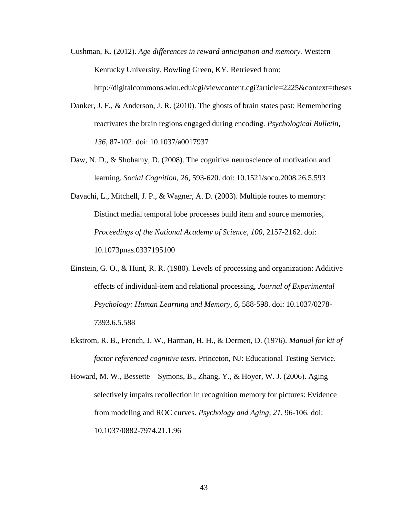- Cushman, K. (2012). *Age differences in reward anticipation and memory.* Western Kentucky University. Bowling Green, KY. Retrieved from: http://digitalcommons.wku.edu/cgi/viewcontent.cgi?article=2225&context=theses
- Danker, J. F., & Anderson, J. R. (2010). The ghosts of brain states past: Remembering reactivates the brain regions engaged during encoding. *Psychological Bulletin, 136*, 87-102. doi: 10.1037/a0017937
- Daw, N. D., & Shohamy, D. (2008). The cognitive neuroscience of motivation and learning. *Social Cognition, 26,* 593-620. doi: 10.1521/soco.2008.26.5.593
- Davachi, L., Mitchell, J. P., & Wagner, A. D. (2003). Multiple routes to memory: Distinct medial temporal lobe processes build item and source memories, *Proceedings of the National Academy of Science, 100*, 2157-2162. doi: 10.1073pnas.0337195100
- Einstein, G. O., & Hunt, R. R. (1980). Levels of processing and organization: Additive effects of individual-item and relational processing, *Journal of Experimental Psychology: Human Learning and Memory, 6,* 588-598. doi: 10.1037/0278- 7393.6.5.588
- Ekstrom, R. B., French, J. W., Harman, H. H., & Dermen, D. (1976). *Manual for kit of factor referenced cognitive tests.* Princeton, NJ: Educational Testing Service.

Howard, M. W., Bessette – Symons, B., Zhang, Y., & Hoyer, W. J. (2006). Aging selectively impairs recollection in recognition memory for pictures: Evidence from modeling and ROC curves. *Psychology and Aging, 21,* 96-106. doi: 10.1037/0882-7974.21.1.96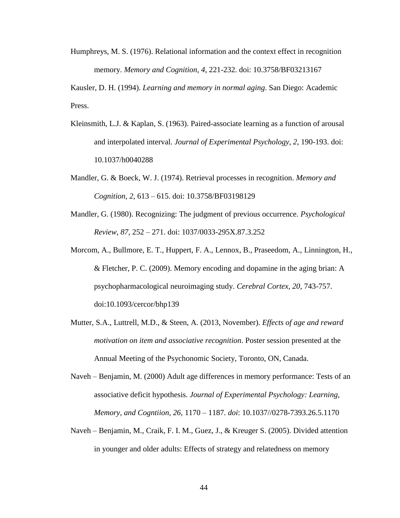Humphreys, M. S. (1976). Relational information and the context effect in recognition memory. *Memory and Cognition, 4*, 221-232. doi: 10.3758/BF03213167

Kausler, D. H. (1994). *Learning and memory in normal aging*. San Diego: Academic Press.

- Kleinsmith, L.J. & Kaplan, S. (1963). Paired-associate learning as a function of arousal and interpolated interval. *Journal of Experimental Psychology, 2*, 190-193. doi: 10.1037/h0040288
- Mandler, G. & Boeck, W. J. (1974). Retrieval processes in recognition. *Memory and Cognition, 2,* 613 – 615. doi: 10.3758/BF03198129
- Mandler, G. (1980). Recognizing: The judgment of previous occurrence. *Psychological Review, 87*, 252 – 271. doi: 1037/0033-295X.87.3.252
- Morcom, A., Bullmore, E. T., Huppert, F. A., Lennox, B., Praseedom, A., Linnington, H., & Fletcher, P. C. (2009). Memory encoding and dopamine in the aging brian: A psychopharmacological neuroimaging study. *Cerebral Cortex, 20*, 743-757. doi:10.1093/cercor/bhp139
- Mutter, S.A., Luttrell, M.D., & Steen, A. (2013, November). *Effects of age and reward motivation on item and associative recognition*. Poster session presented at the Annual Meeting of the Psychonomic Society, Toronto, ON, Canada.
- Naveh Benjamin, M. (2000) Adult age differences in memory performance: Tests of an associative deficit hypothesis. *Journal of Experimental Psychology: Learning, Memory, and Cogntiion, 26,* 1170 – 1187*. doi*: 10.1037//0278-7393.26.5.1170
- Naveh Benjamin, M., Craik, F. I. M., Guez, J., & Kreuger S. (2005). Divided attention in younger and older adults: Effects of strategy and relatedness on memory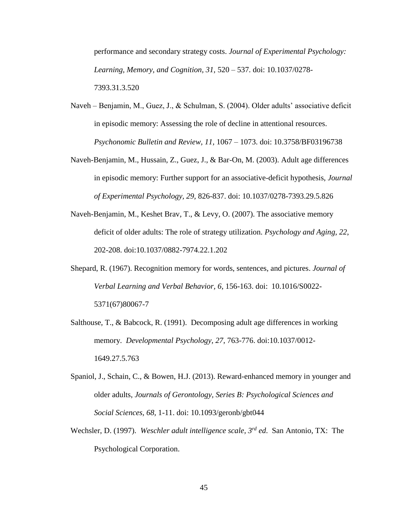performance and secondary strategy costs. *Journal of Experimental Psychology: Learning, Memory, and Cognition, 31,* 520 – 537. doi: 10.1037/0278- 7393.31.3.520

- Naveh Benjamin, M., Guez, J., & Schulman, S. (2004). Older adults' associative deficit in episodic memory: Assessing the role of decline in attentional resources. *Psychonomic Bulletin and Review, 11,* 1067 – 1073. doi: 10.3758/BF03196738
- Naveh-Benjamin, M., Hussain, Z., Guez, J., & Bar-On, M. (2003). Adult age differences in episodic memory: Further support for an associative-deficit hypothesis, *Journal of Experimental Psychology, 29,* 826-837. doi: 10.1037/0278-7393.29.5.826
- Naveh-Benjamin, M., Keshet Brav, T., & Levy, O. (2007). The associative memory deficit of older adults: The role of strategy utilization. *Psychology and Aging, 22*, 202-208. doi:10.1037/0882-7974.22.1.202
- Shepard, R. (1967). Recognition memory for words, sentences, and pictures. *Journal of Verbal Learning and Verbal Behavior, 6*, 156-163. doi: 10.1016/S0022- 5371(67)80067-7
- Salthouse, T., & Babcock, R. (1991). Decomposing adult age differences in working memory. *Developmental Psychology, 27*, 763-776. doi:10.1037/0012- 1649.27.5.763
- Spaniol, J., Schain, C., & Bowen, H.J. (2013). Reward-enhanced memory in younger and older adults, *Journals of Gerontology, Series B: Psychological Sciences and Social Sciences, 68,* 1-11. doi: 10.1093/geronb/gbt044
- Wechsler, D. (1997). *Weschler adult intelligence scale, 3rd ed*. San Antonio, TX: The Psychological Corporation.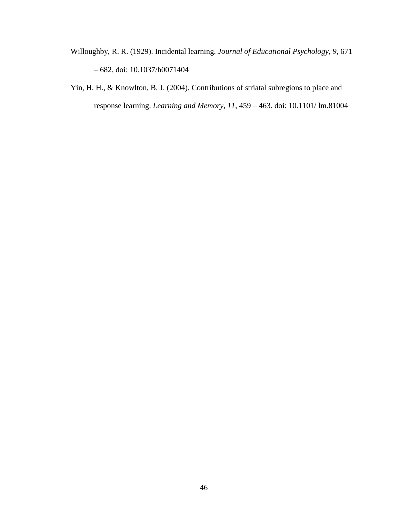- Willoughby, R. R. (1929). Incidental learning. *Journal of Educational Psychology, 9,* 671 – 682. doi: [10.1037/h0071404](http://psycnet.apa.org/doi/10.1037/h0071404)
- Yin, H. H., & Knowlton, B. J. (2004). Contributions of striatal subregions to place and response learning. *Learning and Memory, 11*, 459 – 463. doi: 10.1101/ lm.81004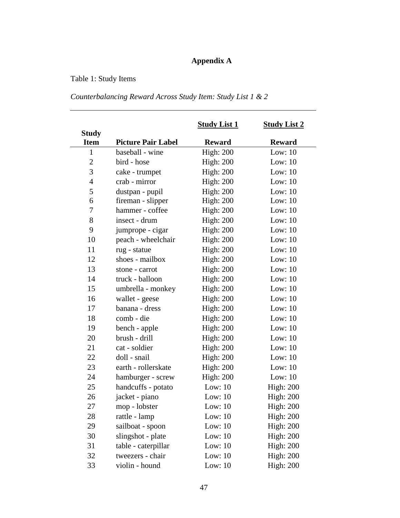## **Appendix A**

## Table 1: Study Items

## *Counterbalancing Reward Across Study Item: Study List 1 & 2*

|                             |                           | <b>Study List 1</b> | <b>Study List 2</b> |
|-----------------------------|---------------------------|---------------------|---------------------|
| <b>Study</b><br><b>Item</b> | <b>Picture Pair Label</b> | <b>Reward</b>       | <b>Reward</b>       |
| $\mathbf{1}$                | baseball - wine           | <b>High: 200</b>    | Low: $10$           |
| $\mathbf{2}$                | bird - hose               | <b>High: 200</b>    | Low: $10$           |
| 3                           | cake - trumpet            | <b>High: 200</b>    | Low: $10$           |
| $\overline{4}$              | crab - mirror             | <b>High: 200</b>    | Low: $10$           |
| 5                           | dustpan - pupil           | <b>High: 200</b>    | Low: $10$           |
| 6                           | fireman - slipper         | <b>High: 200</b>    | Low: $10$           |
| 7                           | hammer - coffee           | <b>High: 200</b>    | Low: $10$           |
| 8                           | insect - drum             | <b>High: 200</b>    | Low: $10$           |
| 9                           | jumprope - cigar          | <b>High: 200</b>    | Low: $10$           |
| 10                          | peach - wheelchair        | <b>High: 200</b>    | Low: $10$           |
| 11                          | rug - statue              | <b>High: 200</b>    | Low: $10$           |
| 12                          | shoes - mailbox           | <b>High: 200</b>    | Low: $10$           |
| 13                          | stone - carrot            | <b>High: 200</b>    | Low: $10$           |
| 14                          | truck - balloon           | <b>High: 200</b>    | Low: $10$           |
| 15                          | umbrella - monkey         | <b>High: 200</b>    | Low: $10$           |
| 16                          | wallet - geese            | <b>High: 200</b>    | Low: $10$           |
| 17                          | banana - dress            | <b>High: 200</b>    | Low: $10$           |
| 18                          | comb - die                | <b>High: 200</b>    | Low: $10$           |
| 19                          | bench - apple             | <b>High: 200</b>    | Low: $10$           |
| 20                          | brush - drill             | <b>High: 200</b>    | Low: $10$           |
| 21                          | cat - soldier             | <b>High: 200</b>    | Low: $10$           |
| 22                          | doll - snail              | <b>High: 200</b>    | Low: $10$           |
| 23                          | earth - rollerskate       | <b>High: 200</b>    | Low: $10$           |
| 24                          | hamburger - screw         | <b>High: 200</b>    | Low: $10$           |
| 25                          | handcuffs - potato        | Low: $10$           | <b>High: 200</b>    |
| 26                          | jacket - piano            | Low: $10$           | <b>High: 200</b>    |
| 27                          | mop - lobster             | Low: $10$           | <b>High: 200</b>    |
| 28                          | rattle - lamp             | Low: $10$           | <b>High: 200</b>    |
| 29                          | sailboat - spoon          | Low: $10$           | <b>High: 200</b>    |
| 30                          | slingshot - plate         | Low: $10$           | <b>High: 200</b>    |
| 31                          | table - caterpillar       | Low: $10$           | <b>High: 200</b>    |
| 32                          | tweezers - chair          | Low: $10$           | <b>High: 200</b>    |
| 33                          | violin - hound            | Low: $10$           | <b>High: 200</b>    |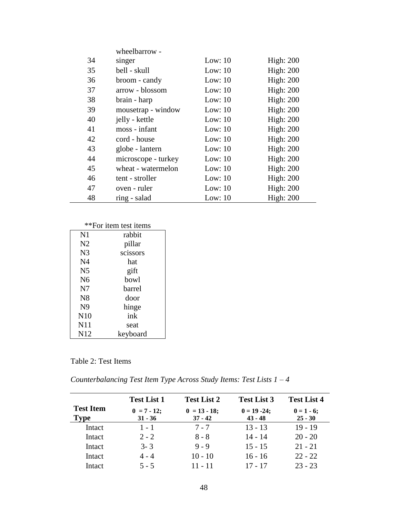|    | wheelbarrow -       |           |                  |
|----|---------------------|-----------|------------------|
| 34 | singer              | Low: $10$ | <b>High: 200</b> |
| 35 | bell - skull        | Low: $10$ | <b>High: 200</b> |
| 36 | broom - candy       | Low: $10$ | <b>High: 200</b> |
| 37 | arrow - blossom     | Low: $10$ | High: $200$      |
| 38 | brain - harp        | Low: $10$ | High: $200$      |
| 39 | mousetrap - window  | Low: $10$ | High: $200$      |
| 40 | jelly - kettle      | Low: $10$ | <b>High: 200</b> |
| 41 | moss - infant       | Low: $10$ | <b>High: 200</b> |
| 42 | cord - house        | Low: $10$ | High: $200$      |
| 43 | globe - lantern     | Low: $10$ | <b>High: 200</b> |
| 44 | microscope - turkey | Low: $10$ | High: $200$      |
| 45 | wheat - watermelon  | Low: $10$ | High: $200$      |
| 46 | tent - stroller     | Low: $10$ | <b>High: 200</b> |
| 47 | oven - ruler        | Low: $10$ | <b>High: 200</b> |
| 48 | ring - salad        | Low: $10$ | <b>High: 200</b> |

## \*\*For item test items

| N1              | rabbit   |
|-----------------|----------|
| N <sub>2</sub>  | pillar   |
| N <sub>3</sub>  | scissors |
| N <sub>4</sub>  | hat      |
| N <sub>5</sub>  | gift     |
| N <sub>6</sub>  | bowl     |
| N7              | barrel   |
| N <sub>8</sub>  | door     |
| N <sub>9</sub>  | hinge    |
| N10             | ink      |
| N11             | seat     |
| N <sub>12</sub> | keyboard |

## Table 2: Test Items

*Counterbalancing Test Item Type Across Study Items: Test Lists 1 – 4* 

|                                 | <b>Test List 1</b>         | <b>Test List 2</b>           | <b>Test List 3</b>           | <b>Test List 4</b>        |
|---------------------------------|----------------------------|------------------------------|------------------------------|---------------------------|
| <b>Test Item</b><br><b>Type</b> | $0 = 7 - 12;$<br>$31 - 36$ | $0 = 13 - 18$ ;<br>$37 - 42$ | $0 = 19 - 24$ ;<br>$43 - 48$ | $0 = 1 - 6;$<br>$25 - 30$ |
| Intact                          | $1 - 1$                    | $7 - 7$                      | $13 - 13$                    | $19 - 19$                 |
| Intact                          | $2 - 2$                    | $8 - 8$                      | $14 - 14$                    | $20 - 20$                 |
| Intact                          | $3 - 3$                    | $9 - 9$                      | $15 - 15$                    | $21 - 21$                 |
| Intact                          | $4 - 4$                    | $10 - 10$                    | $16 - 16$                    | $22 - 22$                 |
| Intact                          | $5 - 5$                    | $11 - 11$                    | $17 - 17$                    | $23 - 23$                 |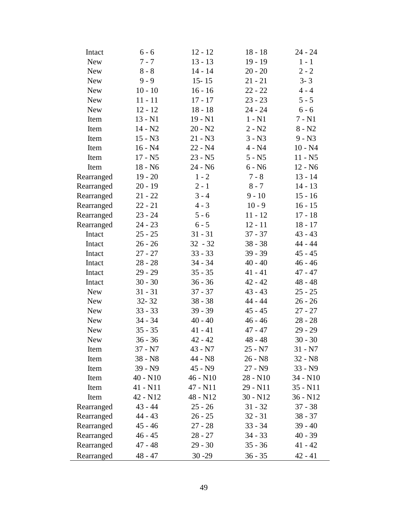| Intact     | $6 - 6$    | $12 - 12$  | $18 - 18$  | $24 - 24$  |
|------------|------------|------------|------------|------------|
| <b>New</b> | $7 - 7$    | $13 - 13$  | $19 - 19$  | $1 - 1$    |
| <b>New</b> | $8 - 8$    | $14 - 14$  | $20 - 20$  | $2 - 2$    |
| <b>New</b> | $9 - 9$    | $15 - 15$  | $21 - 21$  | $3 - 3$    |
| <b>New</b> | $10 - 10$  | $16 - 16$  | $22 - 22$  | $4 - 4$    |
| <b>New</b> | $11 - 11$  | $17 - 17$  | $23 - 23$  | $5 - 5$    |
| <b>New</b> | $12 - 12$  | $18 - 18$  | $24 - 24$  | $6 - 6$    |
| Item       | $13 - N1$  | $19 - N1$  | $1 - N1$   | $7 - N1$   |
| Item       | $14 - N2$  | $20 - N2$  | $2 - N2$   | $8 - N2$   |
| Item       | $15 - N3$  | $21 - N3$  | $3 - N3$   | $9 - N3$   |
| Item       | $16 - N4$  | $22 - N4$  | $4 - N4$   | $10 - N4$  |
| Item       | $17 - N5$  | $23 - N5$  | $5 - N5$   | $11 - N5$  |
| Item       | $18 - N6$  | 24 - N6    | $6 - N6$   | $12 - N6$  |
| Rearranged | $19 - 20$  | $1 - 2$    | $7 - 8$    | $13 - 14$  |
| Rearranged | $20 - 19$  | $2 - 1$    | $8 - 7$    | $14 - 13$  |
| Rearranged | $21 - 22$  | $3 - 4$    | $9 - 10$   | $15 - 16$  |
| Rearranged | $22 - 21$  | $4 - 3$    | $10 - 9$   | $16 - 15$  |
| Rearranged | $23 - 24$  | $5 - 6$    | $11 - 12$  | $17 - 18$  |
| Rearranged | $24 - 23$  | $6 - 5$    | $12 - 11$  | $18 - 17$  |
| Intact     | $25 - 25$  | $31 - 31$  | $37 - 37$  | $43 - 43$  |
| Intact     | $26 - 26$  | $32 - 32$  | $38 - 38$  | 44 - 44    |
| Intact     | $27 - 27$  | $33 - 33$  | $39 - 39$  | $45 - 45$  |
| Intact     | $28 - 28$  | $34 - 34$  | $40 - 40$  | $46 - 46$  |
| Intact     | $29 - 29$  | $35 - 35$  | $41 - 41$  | $47 - 47$  |
| Intact     | $30 - 30$  | $36 - 36$  | $42 - 42$  | $48 - 48$  |
| <b>New</b> | $31 - 31$  | $37 - 37$  | $43 - 43$  | $25 - 25$  |
| <b>New</b> | $32 - 32$  | $38 - 38$  | 44 - 44    | $26 - 26$  |
| <b>New</b> | $33 - 33$  | $39 - 39$  | $45 - 45$  | $27 - 27$  |
| <b>New</b> | $34 - 34$  | $40 - 40$  | $46 - 46$  | $28 - 28$  |
| <b>New</b> | $35 - 35$  | $41 - 41$  | $47 - 47$  | $29 - 29$  |
| <b>New</b> | $36 - 36$  | $42 - 42$  | $48 - 48$  | $30 - 30$  |
| Item       | $37 - N7$  | $43 - N7$  | $25 - N7$  | $31 - N7$  |
| Item       | $38 - N8$  | 44 - N8    | $26 - N8$  | $32 - N8$  |
| Item       | $39 - N9$  | $45 - N9$  | $27 - N9$  | $33 - N9$  |
| Item       | $40 - N10$ | $46 - N10$ | $28 - N10$ | $34 - N10$ |
| Item       | 41 - N11   | 47 - N11   | $29 - N11$ | $35 - N11$ |
| Item       | 42 - N12   | $48 - N12$ | $30 - N12$ | $36 - N12$ |
| Rearranged | $43 - 44$  | $25 - 26$  | $31 - 32$  | $37 - 38$  |
| Rearranged | $44 - 43$  | $26 - 25$  | $32 - 31$  | $38 - 37$  |
| Rearranged | $45 - 46$  | $27 - 28$  | $33 - 34$  | $39 - 40$  |
| Rearranged | $46 - 45$  | $28 - 27$  | $34 - 33$  | $40 - 39$  |
| Rearranged | $47 - 48$  | $29 - 30$  | $35 - 36$  | $41 - 42$  |
| Rearranged | $48 - 47$  | $30 - 29$  | $36 - 35$  | $42 - 41$  |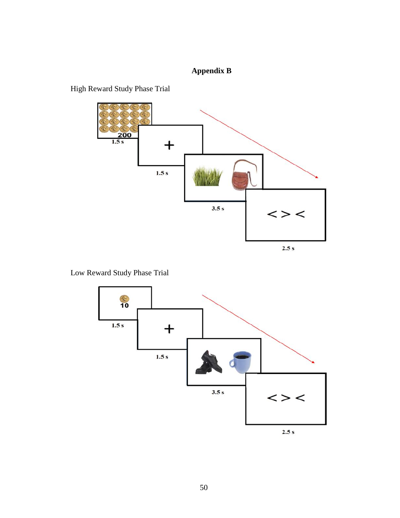## **Appendix B**

High Reward Study Phase Trial



Low Reward Study Phase Trial

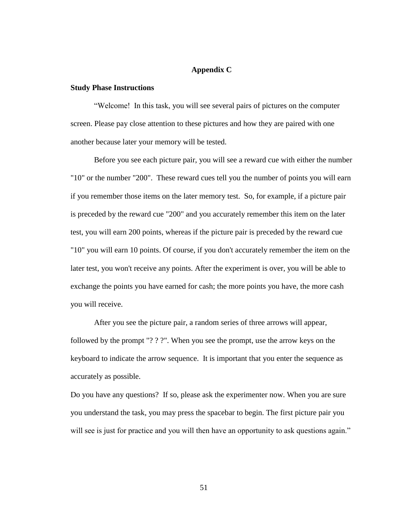#### **Appendix C**

#### **Study Phase Instructions**

"Welcome! In this task, you will see several pairs of pictures on the computer screen. Please pay close attention to these pictures and how they are paired with one another because later your memory will be tested.

Before you see each picture pair, you will see a reward cue with either the number "10" or the number "200". These reward cues tell you the number of points you will earn if you remember those items on the later memory test. So, for example, if a picture pair is preceded by the reward cue "200" and you accurately remember this item on the later test, you will earn 200 points, whereas if the picture pair is preceded by the reward cue "10" you will earn 10 points. Of course, if you don't accurately remember the item on the later test, you won't receive any points. After the experiment is over, you will be able to exchange the points you have earned for cash; the more points you have, the more cash you will receive.

After you see the picture pair, a random series of three arrows will appear, followed by the prompt "? ? ?". When you see the prompt, use the arrow keys on the keyboard to indicate the arrow sequence. It is important that you enter the sequence as accurately as possible.

Do you have any questions? If so, please ask the experimenter now. When you are sure you understand the task, you may press the spacebar to begin. The first picture pair you will see is just for practice and you will then have an opportunity to ask questions again."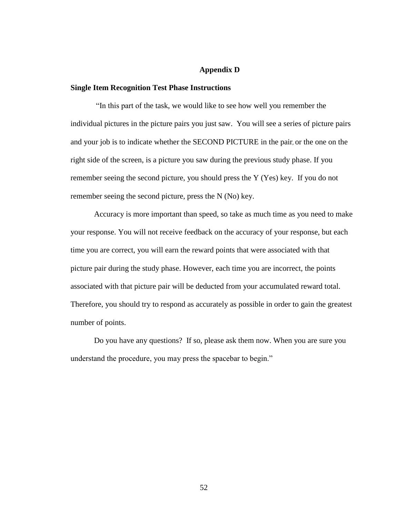#### **Appendix D**

#### **Single Item Recognition Test Phase Instructions**

"In this part of the task, we would like to see how well you remember the individual pictures in the picture pairs you just saw. You will see a series of picture pairs and your job is to indicate whether the SECOND PICTURE in the pair, or the one on the right side of the screen, is a picture you saw during the previous study phase. If you remember seeing the second picture, you should press the Y (Yes) key. If you do not remember seeing the second picture, press the N (No) key.

Accuracy is more important than speed, so take as much time as you need to make your response. You will not receive feedback on the accuracy of your response, but each time you are correct, you will earn the reward points that were associated with that picture pair during the study phase. However, each time you are incorrect, the points associated with that picture pair will be deducted from your accumulated reward total. Therefore, you should try to respond as accurately as possible in order to gain the greatest number of points.

Do you have any questions? If so, please ask them now. When you are sure you understand the procedure, you may press the spacebar to begin."